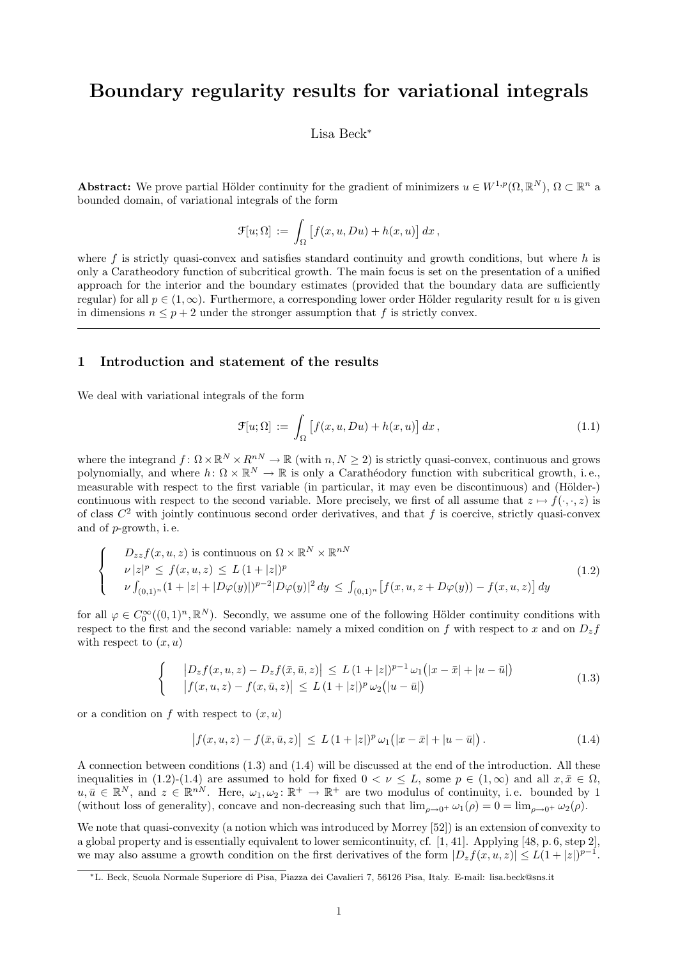# Boundary regularity results for variational integrals

#### Lisa Beck<sup>∗</sup>

**Abstract:** We prove partial Hölder continuity for the gradient of minimizers  $u \in W^{1,p}(\Omega,\mathbb{R}^N)$ ,  $\Omega \subset \mathbb{R}^n$  a bounded domain, of variational integrals of the form

$$
\mathcal{F}[u;\Omega] \, := \, \int_{\Omega} \big[ f(x,u,Du) + h(x,u) \big] \, dx \, ,
$$

where f is strictly quasi-convex and satisfies standard continuity and growth conditions, but where  $h$  is only a Caratheodory function of subcritical growth. The main focus is set on the presentation of a unified approach for the interior and the boundary estimates (provided that the boundary data are sufficiently regular) for all  $p \in (1,\infty)$ . Furthermore, a corresponding lower order Hölder regularity result for u is given in dimensions  $n \leq p+2$  under the stronger assumption that f is strictly convex.

#### 1 Introduction and statement of the results

We deal with variational integrals of the form

$$
\mathcal{F}[u;\Omega] := \int_{\Omega} \left[ f(x,u,Du) + h(x,u) \right] dx, \tag{1.1}
$$

where the integrand  $f: \Omega \times \mathbb{R}^N \times R^{nN} \to \mathbb{R}$  (with  $n, N \ge 2$ ) is strictly quasi-convex, continuous and grows polynomially, and where  $h: \Omega \times \mathbb{R}^N \to \mathbb{R}$  is only a Carathéodory function with subcritical growth, i.e., measurable with respect to the first variable (in particular, it may even be discontinuous) and (Hölder-) continuous with respect to the second variable. More precisely, we first of all assume that  $z \mapsto f(\cdot, z)$  is of class  $C^2$  with jointly continuous second order derivatives, and that f is coercive, strictly quasi-convex and of p-growth, i. e.

$$
\begin{cases}\nD_{zz}f(x, u, z) \text{ is continuous on } \Omega \times \mathbb{R}^N \times \mathbb{R}^{nN} \\
u|z|^p \le f(x, u, z) \le L\left(1 + |z|\right)^p \\
u \int_{(0,1)^n} (1 + |z| + |D\varphi(y)|)^{p-2} |D\varphi(y)|^2 dy \le \int_{(0,1)^n} \left[ f(x, u, z + D\varphi(y)) - f(x, u, z) \right] dy\n\end{cases}
$$
\n(1.2)

for all  $\varphi \in C_0^{\infty}((0,1)^n,\mathbb{R}^N)$ . Secondly, we assume one of the following Hölder continuity conditions with respect to the first and the second variable: namely a mixed condition on f with respect to x and on  $D_z$  f with respect to  $(x, u)$ 

$$
\begin{cases}\n|D_z f(x, u, z) - D_z f(\bar{x}, \bar{u}, z)| \le L (1 + |z|)^{p-1} \omega_1(|x - \bar{x}| + |u - \bar{u}|) \\
|f(x, u, z) - f(x, \bar{u}, z)| \le L (1 + |z|)^p \omega_2(|u - \bar{u}|)\n\end{cases}
$$
\n(1.3)

or a condition on f with respect to  $(x, u)$ 

$$
\left| f(x, u, z) - f(\bar{x}, \bar{u}, z) \right| \le L \left( 1 + |z| \right)^p \omega_1 \left( |x - \bar{x}| + |u - \bar{u}| \right). \tag{1.4}
$$

A connection between conditions (1.3) and (1.4) will be discussed at the end of the introduction. All these inequalities in (1.2)-(1.4) are assumed to hold for fixed  $0 < \nu < L$ , some  $p \in (1,\infty)$  and all  $x, \bar{x} \in \Omega$ ,  $u, \bar{u} \in \mathbb{R}^N$ , and  $z \in \mathbb{R}^{nN}$ . Here,  $\omega_1, \omega_2 \colon \mathbb{R}^+ \to \mathbb{R}^+$  are two modulus of continuity, i.e. bounded by 1 (without loss of generality), concave and non-decreasing such that  $\lim_{\rho\to 0^+} \omega_1(\rho) = 0 = \lim_{\rho\to 0^+} \omega_2(\rho)$ .

We note that quasi-convexity (a notion which was introduced by Morrey [52]) is an extension of convexity to a global property and is essentially equivalent to lower semicontinuity, cf. [1, 41]. Applying [48, p. 6, step 2], we may also assume a growth condition on the first derivatives of the form  $|D_z f(x, u, z)| \le L(1 + |z|)^{p-1}$ .

<sup>∗</sup>L. Beck, Scuola Normale Superiore di Pisa, Piazza dei Cavalieri 7, 56126 Pisa, Italy. E-mail: lisa.beck@sns.it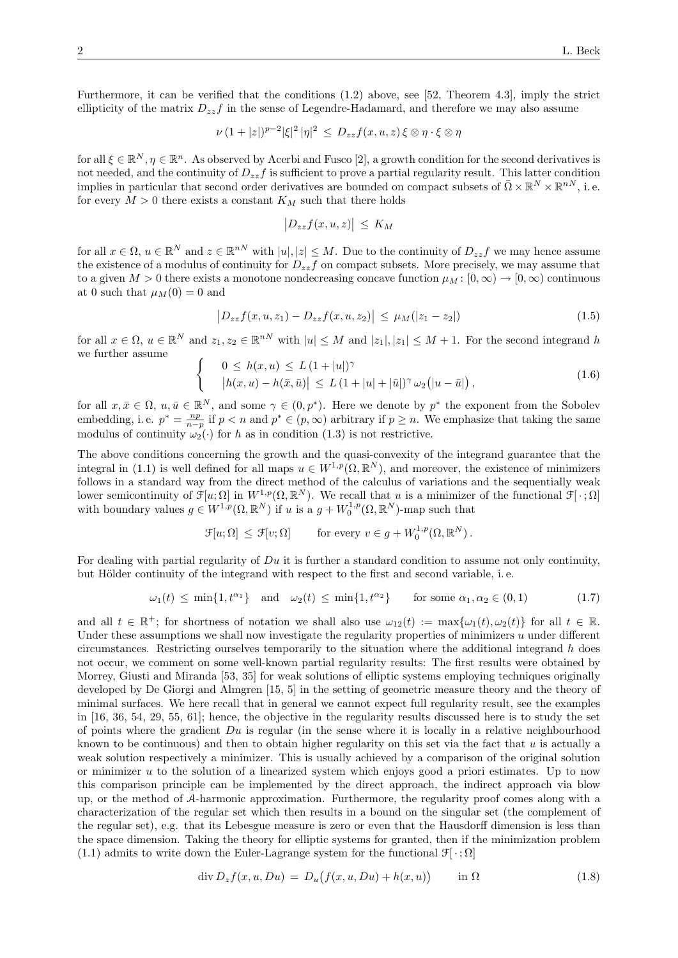Furthermore, it can be verified that the conditions (1.2) above, see [52, Theorem 4.3], imply the strict ellipticity of the matrix  $D_{zz}f$  in the sense of Legendre-Hadamard, and therefore we may also assume

$$
\nu (1+|z|)^{p-2} |\xi|^2 |\eta|^2 \leq D_{zz} f(x, u, z) \xi \otimes \eta \cdot \xi \otimes \eta
$$

for all  $\xi \in \mathbb{R}^N, \eta \in \mathbb{R}^n$ . As observed by Acerbi and Fusco [2], a growth condition for the second derivatives is not needed, and the continuity of  $D_{zz}f$  is sufficient to prove a partial regularity result. This latter condition implies in particular that second order derivatives are bounded on compact subsets of  $\bar{\Omega} \times \mathbb{R}^N \times \mathbb{R}^{nN}$ , i.e. for every  $M > 0$  there exists a constant  $K_M$  such that there holds

$$
\left|D_{zz}f(x,u,z)\right| \leq K_M
$$

for all  $x \in \Omega$ ,  $u \in \mathbb{R}^N$  and  $z \in \mathbb{R}^{nN}$  with  $|u|, |z| \leq M$ . Due to the continuity of  $D_{zz}f$  we may hence assume the existence of a modulus of continuity for  $D_{zz}f$  on compact subsets. More precisely, we may assume that to a given  $M > 0$  there exists a monotone nondecreasing concave function  $\mu_M : [0, \infty) \to [0, \infty)$  continuous at 0 such that  $\mu_M(0) = 0$  and

$$
\left|D_{zz}f(x, u, z_1) - D_{zz}f(x, u, z_2)\right| \le \mu_M(|z_1 - z_2|) \tag{1.5}
$$

for all  $x \in \Omega$ ,  $u \in \mathbb{R}^N$  and  $z_1, z_2 \in \mathbb{R}^{nN}$  with  $|u| \leq M$  and  $|z_1|, |z_1| \leq M+1$ . For the second integrand h we further assume

$$
\begin{cases}\n0 \le h(x, u) \le L (1 + |u|)^{\gamma} \\
|h(x, u) - h(\bar{x}, \bar{u})| \le L (1 + |u| + |\bar{u}|)^{\gamma} \omega_2(|u - \bar{u}|),\n\end{cases}
$$
\n(1.6)

for all  $x, \bar{x} \in \Omega$ ,  $u, \bar{u} \in \mathbb{R}^N$ , and some  $\gamma \in (0, p^*)$ . Here we denote by  $p^*$  the exponent from the Sobolev embedding, i.e.  $p^* = \frac{np}{n-p}$  if  $p < n$  and  $p^* \in (p, \infty)$  arbitrary if  $p \geq n$ . We emphasize that taking the same modulus of continuity  $\omega_2(\cdot)$  for h as in condition (1.3) is not restrictive.

The above conditions concerning the growth and the quasi-convexity of the integrand guarantee that the integral in (1.1) is well defined for all maps  $u \in W^{1,p}(\Omega,\mathbb{R}^N)$ , and moreover, the existence of minimizers follows in a standard way from the direct method of the calculus of variations and the sequentially weak lower semicontinuity of  $\mathcal{F}[u;\Omega]$  in  $W^{1,p}(\Omega,\mathbb{R}^N)$ . We recall that u is a minimizer of the functional  $\mathcal{F}[\cdot;\Omega]$ with boundary values  $g \in W^{1,p}(\Omega,\mathbb{R}^N)$  if u is a  $g + W_0^{1,p}(\Omega,\mathbb{R}^N)$ -map such that

$$
\mathcal{F}[u;\Omega] \leq \mathcal{F}[v;\Omega] \quad \text{for every } v \in g + W_0^{1,p}(\Omega,\mathbb{R}^N).
$$

For dealing with partial regularity of  $Du$  it is further a standard condition to assume not only continuity, but Hölder continuity of the integrand with respect to the first and second variable, i.e.

$$
\omega_1(t) \le \min\{1, t^{\alpha_1}\} \quad \text{and} \quad \omega_2(t) \le \min\{1, t^{\alpha_2}\} \qquad \text{for some } \alpha_1, \alpha_2 \in (0, 1) \tag{1.7}
$$

and all  $t \in \mathbb{R}^+$ ; for shortness of notation we shall also use  $\omega_{12}(t) := \max{\{\omega_1(t), \omega_2(t)\}}$  for all  $t \in \mathbb{R}$ . Under these assumptions we shall now investigate the regularity properties of minimizers  $u$  under different circumstances. Restricting ourselves temporarily to the situation where the additional integrand  $h$  does not occur, we comment on some well-known partial regularity results: The first results were obtained by Morrey, Giusti and Miranda [53, 35] for weak solutions of elliptic systems employing techniques originally developed by De Giorgi and Almgren [15, 5] in the setting of geometric measure theory and the theory of minimal surfaces. We here recall that in general we cannot expect full regularity result, see the examples in [16, 36, 54, 29, 55, 61]; hence, the objective in the regularity results discussed here is to study the set of points where the gradient  $Du$  is regular (in the sense where it is locally in a relative neighbourhood known to be continuous) and then to obtain higher regularity on this set via the fact that  $u$  is actually a weak solution respectively a minimizer. This is usually achieved by a comparison of the original solution or minimizer  $u$  to the solution of a linearized system which enjoys good a priori estimates. Up to now this comparison principle can be implemented by the direct approach, the indirect approach via blow up, or the method of A-harmonic approximation. Furthermore, the regularity proof comes along with a characterization of the regular set which then results in a bound on the singular set (the complement of the regular set), e.g. that its Lebesgue measure is zero or even that the Hausdorff dimension is less than the space dimension. Taking the theory for elliptic systems for granted, then if the minimization problem (1.1) admits to write down the Euler-Lagrange system for the functional  $\mathcal{F}[\cdot;\Omega]$ 

$$
\operatorname{div} D_z f(x, u, Du) = D_u \big( f(x, u, Du) + h(x, u) \big) \qquad \text{in } \Omega \tag{1.8}
$$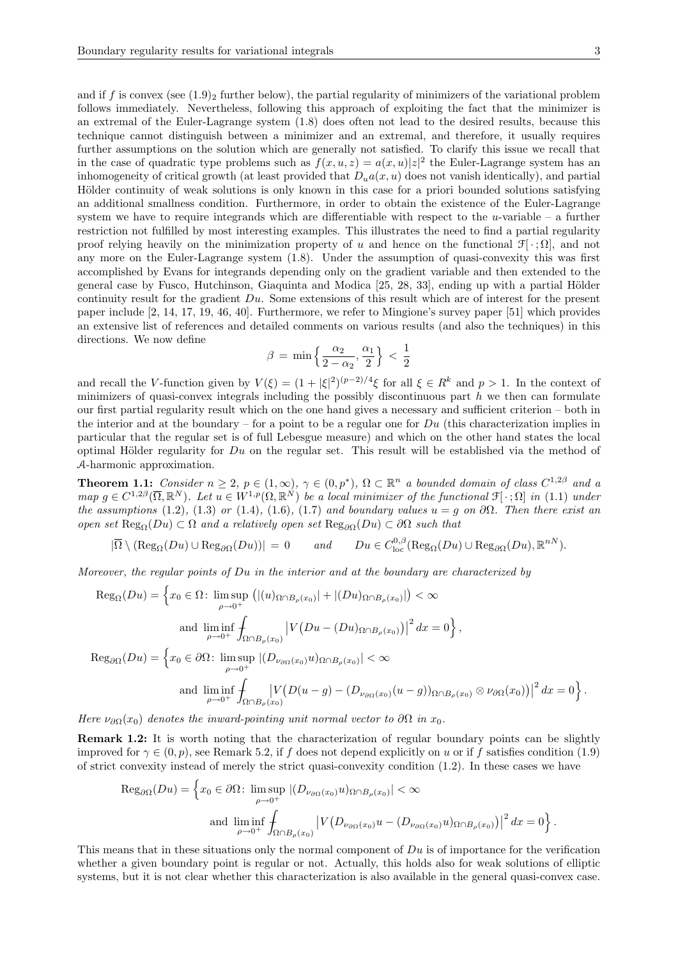and if f is convex (see  $(1.9)$ )<sub>2</sub> further below), the partial regularity of minimizers of the variational problem follows immediately. Nevertheless, following this approach of exploiting the fact that the minimizer is an extremal of the Euler-Lagrange system (1.8) does often not lead to the desired results, because this technique cannot distinguish between a minimizer and an extremal, and therefore, it usually requires further assumptions on the solution which are generally not satisfied. To clarify this issue we recall that in the case of quadratic type problems such as  $f(x, u, z) = a(x, u)|z|^2$  the Euler-Lagrange system has an inhomogeneity of critical growth (at least provided that  $D_u a(x, u)$  does not vanish identically), and partial Hölder continuity of weak solutions is only known in this case for a priori bounded solutions satisfying an additional smallness condition. Furthermore, in order to obtain the existence of the Euler-Lagrange system we have to require integrands which are differentiable with respect to the  $u$ -variable – a further restriction not fulfilled by most interesting examples. This illustrates the need to find a partial regularity proof relying heavily on the minimization property of u and hence on the functional  $\mathcal{F}[\cdot;\Omega]$ , and not any more on the Euler-Lagrange system (1.8). Under the assumption of quasi-convexity this was first accomplished by Evans for integrands depending only on the gradient variable and then extended to the general case by Fusco, Hutchinson, Giaquinta and Modica [25, 28, 33], ending up with a partial Hölder continuity result for the gradient Du. Some extensions of this result which are of interest for the present paper include [2, 14, 17, 19, 46, 40]. Furthermore, we refer to Mingione's survey paper [51] which provides an extensive list of references and detailed comments on various results (and also the techniques) in this directions. We now define

$$
\beta = \min\left\{\frac{\alpha_2}{2-\alpha_2}, \frac{\alpha_1}{2}\right\} < \frac{1}{2}
$$

and recall the V-function given by  $V(\xi) = (1 + |\xi|^2)^{(p-2)/4} \xi$  for all  $\xi \in R^k$  and  $p > 1$ . In the context of minimizers of quasi-convex integrals including the possibly discontinuous part  $h$  we then can formulate our first partial regularity result which on the one hand gives a necessary and sufficient criterion – both in the interior and at the boundary – for a point to be a regular one for  $Du$  (this characterization implies in particular that the regular set is of full Lebesgue measure) and which on the other hand states the local optimal Hölder regularity for  $Du$  on the regular set. This result will be established via the method of A-harmonic approximation.

**Theorem 1.1:** Consider  $n \geq 2$ ,  $p \in (1,\infty)$ ,  $\gamma \in (0,p^*)$ ,  $\Omega \subset \mathbb{R}^n$  a bounded domain of class  $C^{1,2\beta}$  and a map  $g \in C^{1,2\beta}(\overline{\Omega},\mathbb{R}^N)$ . Let  $u \in W^{1,p}(\Omega,\mathbb{R}^N)$  be a local minimizer of the functional  $\mathfrak{F}[\cdot;\Omega]$  in (1.1) under the assumptions (1.2), (1.3) or (1.4), (1.6), (1.7) and boundary values  $u = g$  on  $\partial\Omega$ . Then there exist an open set  $\text{Reg}_{\Omega}(Du) \subset \Omega$  and a relatively open set  $\text{Reg}_{\partial\Omega}(Du) \subset \partial\Omega$  such that

$$
|\overline{\Omega} \setminus (\text{Reg}_{\Omega}(Du) \cup \text{Reg}_{\partial\Omega}(Du))| = 0 \quad \text{and} \quad Du \in C^{0,\beta}_{\text{loc}}(\text{Reg}_{\Omega}(Du) \cup \text{Reg}_{\partial\Omega}(Du), \mathbb{R}^{nN}).
$$

Moreover, the regular points of  $Du$  in the interior and at the boundary are characterized by

$$
\operatorname{Reg}_{\Omega}(Du) = \left\{ x_0 \in \Omega \colon \limsup_{\rho \to 0^+} \left( |(u)_{\Omega \cap B_{\rho}(x_0)}| + |(Du)_{\Omega \cap B_{\rho}(x_0)}| \right) < \infty \right\}
$$
\n
$$
\text{and } \liminf_{\rho \to 0^+} \int_{\Omega \cap B_{\rho}(x_0)} \left| V(Du - (Du)_{\Omega \cap B_{\rho}(x_0)}) \right|^2 dx = 0 \right\},
$$
\n
$$
\operatorname{Reg}_{\partial\Omega}(Du) = \left\{ x_0 \in \partial\Omega \colon \limsup_{\rho \to 0^+} |(D_{\nu_{\partial\Omega}(x_0)}u)_{\Omega \cap B_{\rho}(x_0)}| < \infty \right\}
$$
\n
$$
\text{and } \liminf_{\rho \to 0^+} \int_{\Omega \cap B_{\rho}(x_0)} \left| V(D(u - g) - (D_{\nu_{\partial\Omega}(x_0)}(u - g))_{\Omega \cap B_{\rho}(x_0)} \otimes \nu_{\partial\Omega}(x_0)) \right|^2 dx = 0 \right\}.
$$

Here  $\nu_{\partial\Omega}(x_0)$  denotes the inward-pointing unit normal vector to  $\partial\Omega$  in  $x_0$ .

Remark 1.2: It is worth noting that the characterization of regular boundary points can be slightly improved for  $\gamma \in (0, p)$ , see Remark 5.2, if f does not depend explicitly on u or if f satisfies condition (1.9) of strict convexity instead of merely the strict quasi-convexity condition (1.2). In these cases we have

$$
\operatorname{Reg}_{\partial\Omega}(Du) = \left\{ x_0 \in \partial\Omega \colon \limsup_{\rho \to 0^+} |(D_{\nu_{\partial\Omega}(x_0)}u)_{\Omega \cap B_{\rho}(x_0)}| < \infty \right\}
$$
\n
$$
\text{and } \liminf_{\rho \to 0^+} \int_{\Omega \cap B_{\rho}(x_0)} |V(D_{\nu_{\partial\Omega}(x_0)}u - (D_{\nu_{\partial\Omega}(x_0)}u)_{\Omega \cap B_{\rho}(x_0)})|^2 \, dx = 0 \right\}.
$$

This means that in these situations only the normal component of  $Du$  is of importance for the verification whether a given boundary point is regular or not. Actually, this holds also for weak solutions of elliptic systems, but it is not clear whether this characterization is also available in the general quasi-convex case.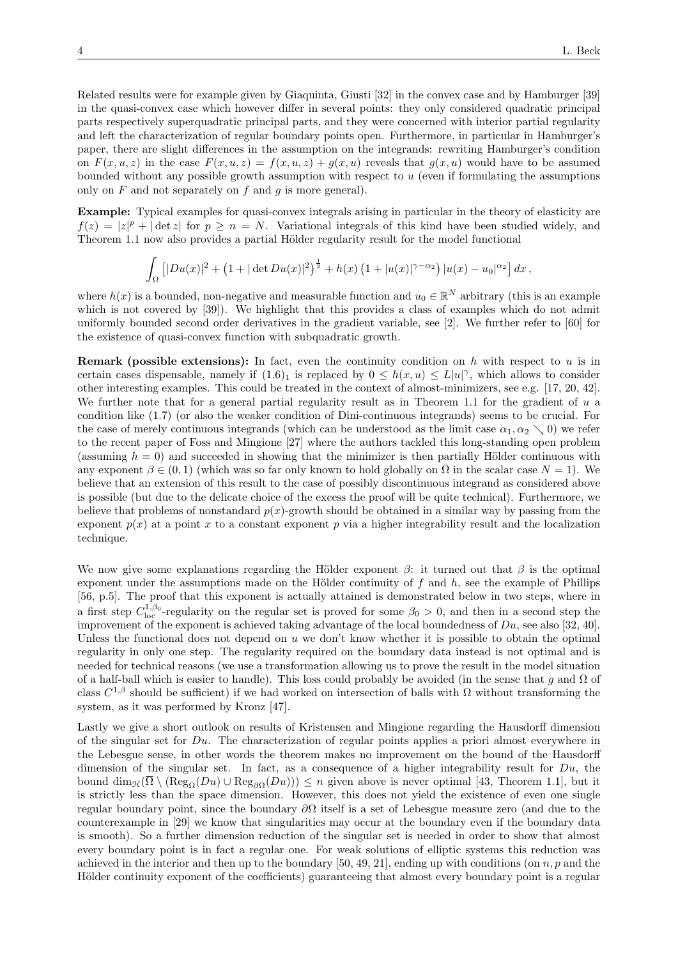Related results were for example given by Giaquinta, Giusti [32] in the convex case and by Hamburger [39] in the quasi-convex case which however differ in several points: they only considered quadratic principal parts respectively superquadratic principal parts, and they were concerned with interior partial regularity and left the characterization of regular boundary points open. Furthermore, in particular in Hamburger's paper, there are slight differences in the assumption on the integrands: rewriting Hamburger's condition on  $F(x, u, z)$  in the case  $F(x, u, z) = f(x, u, z) + g(x, u)$  reveals that  $g(x, u)$  would have to be assumed bounded without any possible growth assumption with respect to  $u$  (even if formulating the assumptions only on  $F$  and not separately on  $f$  and  $g$  is more general).

Example: Typical examples for quasi-convex integrals arising in particular in the theory of elasticity are  $f(z) = |z|^p + |\det z|$  for  $p \geq n = N$ . Variational integrals of this kind have been studied widely, and Theorem 1.1 now also provides a partial Hölder regularity result for the model functional

$$
\int_{\Omega} \left[ |Du(x)|^2 + (1 + |\det Du(x)|^2)^{\frac{1}{2}} + h(x) (1 + |u(x)|^{\gamma - \alpha_2}) |u(x) - u_0|^{\alpha_2} \right] dx,
$$

where  $h(x)$  is a bounded, non-negative and measurable function and  $u_0 \in \mathbb{R}^N$  arbitrary (this is an example which is not covered by [39]). We highlight that this provides a class of examples which do not admit uniformly bounded second order derivatives in the gradient variable, see [2]. We further refer to [60] for the existence of quasi-convex function with subquadratic growth.

**Remark (possible extensions):** In fact, even the continuity condition on h with respect to u is in certain cases dispensable, namely if  $(1.6)_1$  is replaced by  $0 \leq h(x, u) \leq L|u|^\gamma$ , which allows to consider other interesting examples. This could be treated in the context of almost-minimizers, see e.g. [17, 20, 42]. We further note that for a general partial regularity result as in Theorem 1.1 for the gradient of u a condition like (1.7) (or also the weaker condition of Dini-continuous integrands) seems to be crucial. For the case of merely continuous integrands (which can be understood as the limit case  $\alpha_1, \alpha_2 \searrow 0$ ) we refer to the recent paper of Foss and Mingione [27] where the authors tackled this long-standing open problem (assuming  $h = 0$ ) and succeeded in showing that the minimizer is then partially Hölder continuous with any exponent  $\beta \in (0,1)$  (which was so far only known to hold globally on  $\overline{\Omega}$  in the scalar case  $N = 1$ ). We believe that an extension of this result to the case of possibly discontinuous integrand as considered above is possible (but due to the delicate choice of the excess the proof will be quite technical). Furthermore, we believe that problems of nonstandard  $p(x)$ -growth should be obtained in a similar way by passing from the exponent  $p(x)$  at a point x to a constant exponent p via a higher integrability result and the localization technique.

We now give some explanations regarding the Hölder exponent  $\beta$ : it turned out that  $\beta$  is the optimal exponent under the assumptions made on the Hölder continuity of  $f$  and  $h$ , see the example of Phillips [56, p.5]. The proof that this exponent is actually attained is demonstrated below in two steps, where in a first step  $C_{\text{loc}}^{1,\beta_0}$ -regularity on the regular set is proved for some  $\beta_0 > 0$ , and then in a second step the improvement of the exponent is achieved taking advantage of the local boundedness of  $Du$ , see also [32, 40]. Unless the functional does not depend on  $u$  we don't know whether it is possible to obtain the optimal regularity in only one step. The regularity required on the boundary data instead is not optimal and is needed for technical reasons (we use a transformation allowing us to prove the result in the model situation of a half-ball which is easier to handle). This loss could probably be avoided (in the sense that q and  $\Omega$  of class  $C^{1,\beta}$  should be sufficient) if we had worked on intersection of balls with  $\Omega$  without transforming the system, as it was performed by Kronz [47].

Lastly we give a short outlook on results of Kristensen and Mingione regarding the Hausdorff dimension of the singular set for  $Du$ . The characterization of regular points applies a priori almost everywhere in the Lebesgue sense, in other words the theorem makes no improvement on the bound of the Hausdorff dimension of the singular set. In fact, as a consequence of a higher integrability result for  $Du$ , the bound  $\dim_{\mathcal{H}}(\overline{\Omega} \setminus (\text{Reg}_{\Omega}(Du)) \cup \text{Reg}_{\partial\Omega}(Du))) \leq n$  given above is never optimal [43, Theorem 1.1], but it is strictly less than the space dimension. However, this does not yield the existence of even one single regular boundary point, since the boundary ∂Ω itself is a set of Lebesgue measure zero (and due to the counterexample in [29] we know that singularities may occur at the boundary even if the boundary data is smooth). So a further dimension reduction of the singular set is needed in order to show that almost every boundary point is in fact a regular one. For weak solutions of elliptic systems this reduction was achieved in the interior and then up to the boundary [50, 49, 21], ending up with conditions (on  $n, p$  and the Hölder continuity exponent of the coefficients) guaranteeing that almost every boundary point is a regular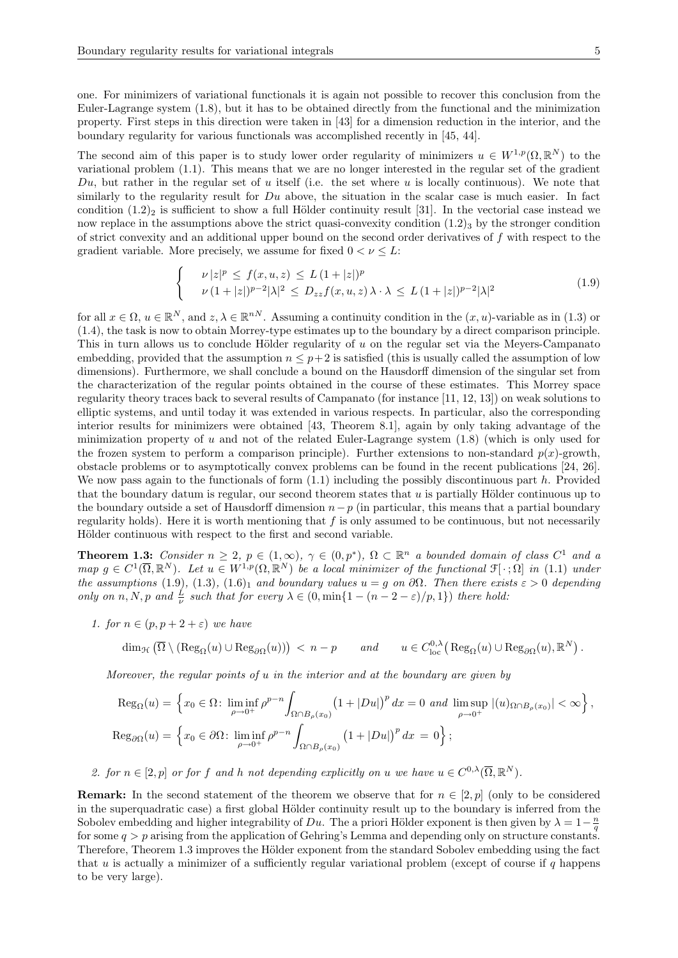one. For minimizers of variational functionals it is again not possible to recover this conclusion from the Euler-Lagrange system (1.8), but it has to be obtained directly from the functional and the minimization property. First steps in this direction were taken in [43] for a dimension reduction in the interior, and the boundary regularity for various functionals was accomplished recently in [45, 44].

The second aim of this paper is to study lower order regularity of minimizers  $u \in W^{1,p}(\Omega,\mathbb{R}^N)$  to the variational problem (1.1). This means that we are no longer interested in the regular set of the gradient  $Du$ , but rather in the regular set of u itself (i.e. the set where u is locally continuous). We note that similarly to the regularity result for  $Du$  above, the situation in the scalar case is much easier. In fact condition  $(1.2)_2$  is sufficient to show a full Hölder continuity result [31]. In the vectorial case instead we now replace in the assumptions above the strict quasi-convexity condition  $(1.2)$ <sub>3</sub> by the stronger condition of strict convexity and an additional upper bound on the second order derivatives of f with respect to the gradient variable. More precisely, we assume for fixed  $0 < \nu \leq L$ :

$$
\begin{cases}\n\nu|z|^p \le f(x, u, z) \le L\left(1+|z|\right)^p \\
\nu\left(1+|z|\right)^{p-2}|\lambda|^2 \le D_{zz}f(x, u, z)\lambda \cdot \lambda \le L\left(1+|z|\right)^{p-2}|\lambda|^2\n\end{cases}
$$
\n(1.9)

for all  $x \in \Omega$ ,  $u \in \mathbb{R}^N$ , and  $z, \lambda \in \mathbb{R}^{nN}$ . Assuming a continuity condition in the  $(x, u)$ -variable as in (1.3) or (1.4), the task is now to obtain Morrey-type estimates up to the boundary by a direct comparison principle. This in turn allows us to conclude Hölder regularity of  $u$  on the regular set via the Meyers-Campanato embedding, provided that the assumption  $n \leq p+2$  is satisfied (this is usually called the assumption of low dimensions). Furthermore, we shall conclude a bound on the Hausdorff dimension of the singular set from the characterization of the regular points obtained in the course of these estimates. This Morrey space regularity theory traces back to several results of Campanato (for instance [11, 12, 13]) on weak solutions to elliptic systems, and until today it was extended in various respects. In particular, also the corresponding interior results for minimizers were obtained [43, Theorem 8.1], again by only taking advantage of the minimization property of  $u$  and not of the related Euler-Lagrange system  $(1.8)$  (which is only used for the frozen system to perform a comparison principle). Further extensions to non-standard  $p(x)$ -growth, obstacle problems or to asymptotically convex problems can be found in the recent publications [24, 26]. We now pass again to the functionals of form  $(1.1)$  including the possibly discontinuous part h. Provided that the boundary datum is regular, our second theorem states that  $u$  is partially Hölder continuous up to the boundary outside a set of Hausdorff dimension  $n-p$  (in particular, this means that a partial boundary regularity holds). Here it is worth mentioning that  $f$  is only assumed to be continuous, but not necessarily Hölder continuous with respect to the first and second variable.

**Theorem 1.3:** Consider  $n \geq 2$ ,  $p \in (1,\infty)$ ,  $\gamma \in (0,p^*)$ ,  $\Omega \subset \mathbb{R}^n$  a bounded domain of class  $C^1$  and a map  $g \in C^1(\overline{\Omega}, \mathbb{R}^N)$ . Let  $u \in W^{1,p}(\Omega, \mathbb{R}^N)$  be a local minimizer of the functional  $\mathfrak{F}[\cdot; \Omega]$  in (1.1) under the assumptions (1.9), (1.3), (1.6)<sub>1</sub> and boundary values  $u = g$  on  $\partial\Omega$ . Then there exists  $\varepsilon > 0$  depending only on n, N, p and  $\frac{L}{\nu}$  such that for every  $\lambda \in (0, \min\{1 - (n-2-\varepsilon)/p, 1\})$  there hold:

1. for  $n \in (p, p + 2 + \varepsilon)$  we have

$$
\dim_{\mathcal{H}}\left(\overline{\Omega}\setminus (\mathrm{Reg}_{\Omega}(u)\cup \mathrm{Reg}_{\partial\Omega}(u))\right) \,<\, n-p \qquad and \qquad u\in C^{0,\lambda}_{\mathrm{loc}}\big(\,\mathrm{Reg}_{\Omega}(u)\cup \mathrm{Reg}_{\partial\Omega}(u),\mathbb{R}^N\big)\,.
$$

Moreover, the regular points of  $u$  in the interior and at the boundary are given by

$$
\operatorname{Reg}_{\Omega}(u) = \left\{ x_0 \in \Omega \colon \liminf_{\rho \to 0^+} \rho^{p-n} \int_{\Omega \cap B_{\rho}(x_0)} \left( 1 + |Du| \right)^p dx = 0 \text{ and } \limsup_{\rho \to 0^+} |(u)_{\Omega \cap B_{\rho}(x_0)}| < \infty \right\},
$$
  

$$
\operatorname{Reg}_{\partial\Omega}(u) = \left\{ x_0 \in \partial\Omega \colon \liminf_{\rho \to 0^+} \rho^{p-n} \int_{\Omega \cap B_{\rho}(x_0)} \left( 1 + |Du| \right)^p dx = 0 \right\};
$$

2. for  $n \in [2, p]$  or for f and h not depending explicitly on u we have  $u \in C^{0,\lambda}(\overline{\Omega}, \mathbb{R}^N)$ .

**Remark:** In the second statement of the theorem we observe that for  $n \in [2, p]$  (only to be considered in the superquadratic case) a first global Hölder continuity result up to the boundary is inferred from the Sobolev embedding and higher integrability of Du. The a priori Hölder exponent is then given by  $\lambda = 1 - \frac{n}{q}$ for some  $q > p$  arising from the application of Gehring's Lemma and depending only on structure constants. Therefore, Theorem 1.3 improves the Hölder exponent from the standard Sobolev embedding using the fact that u is actually a minimizer of a sufficiently regular variational problem (except of course if q happens to be very large).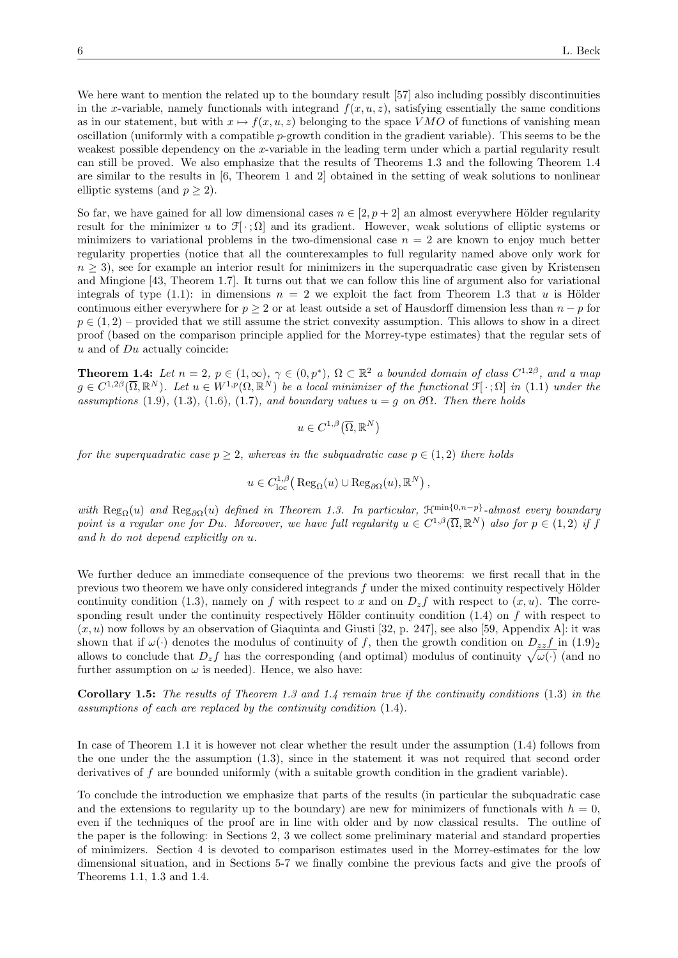We here want to mention the related up to the boundary result [57] also including possibly discontinuities in the x-variable, namely functionals with integrand  $f(x, u, z)$ , satisfying essentially the same conditions as in our statement, but with  $x \mapsto f(x, u, z)$  belonging to the space VMO of functions of vanishing mean oscillation (uniformly with a compatible p-growth condition in the gradient variable). This seems to be the weakest possible dependency on the x-variable in the leading term under which a partial regularity result can still be proved. We also emphasize that the results of Theorems 1.3 and the following Theorem 1.4 are similar to the results in [6, Theorem 1 and 2] obtained in the setting of weak solutions to nonlinear elliptic systems (and  $p \geq 2$ ).

So far, we have gained for all low dimensional cases  $n \in [2, p+2]$  an almost everywhere Hölder regularity result for the minimizer u to  $\mathcal{F}[\cdot;\Omega]$  and its gradient. However, weak solutions of elliptic systems or minimizers to variational problems in the two-dimensional case  $n = 2$  are known to enjoy much better regularity properties (notice that all the counterexamples to full regularity named above only work for  $n \geq 3$ ), see for example an interior result for minimizers in the superquadratic case given by Kristensen and Mingione [43, Theorem 1.7]. It turns out that we can follow this line of argument also for variational integrals of type (1.1): in dimensions  $n = 2$  we exploit the fact from Theorem 1.3 that u is Hölder continuous either everywhere for  $p \geq 2$  or at least outside a set of Hausdorff dimension less than  $n - p$  for  $p \in (1, 2)$  – provided that we still assume the strict convexity assumption. This allows to show in a direct proof (based on the comparison principle applied for the Morrey-type estimates) that the regular sets of  $u$  and of  $Du$  actually coincide:

**Theorem 1.4:** Let  $n = 2$ ,  $p \in (1,\infty)$ ,  $\gamma \in (0,p^*)$ ,  $\Omega \subset \mathbb{R}^2$  a bounded domain of class  $C^{1,2\beta}$ , and a map  $g \in C^{1,2\beta}(\overline{\Omega},\mathbb{R}^N)$ . Let  $u \in W^{1,p}(\Omega,\mathbb{R}^N)$  be a local minimizer of the functional  $\mathfrak{F}[\,\cdot\,;\Omega]$  in (1.1) under the assumptions (1.9), (1.3), (1.6), (1.7), and boundary values  $u = g$  on  $\partial\Omega$ . Then there holds

$$
u \in C^{1,\beta}(\overline{\Omega},\mathbb{R}^N)
$$

for the superquadratic case  $p > 2$ , whereas in the subquadratic case  $p \in (1, 2)$  there holds

$$
u \in C_{\text{loc}}^{1,\beta}(\text{Reg}_{\Omega}(u) \cup \text{Reg}_{\partial\Omega}(u), \mathbb{R}^N),
$$

with  $\text{Reg}_{\Omega}(u)$  and  $\text{Reg}_{\partial\Omega}(u)$  defined in Theorem 1.3. In particular,  $\mathcal{H}^{\min\{0,n-p\}}$ -almost every boundary point is a regular one for Du. Moreover, we have full regularity  $u \in C^{1,\beta}(\overline{\Omega}, \mathbb{R}^N)$  also for  $p \in (1,2)$  if f and h do not depend explicitly on u.

We further deduce an immediate consequence of the previous two theorems: we first recall that in the previous two theorem we have only considered integrands  $f$  under the mixed continuity respectively Hölder continuity condition (1.3), namely on f with respect to x and on  $D_z f$  with respect to  $(x, u)$ . The corresponding result under the continuity respectively Hölder continuity condition  $(1.4)$  on f with respect to  $(x, u)$  now follows by an observation of Giaquinta and Giusti [32, p. 247], see also [59, Appendix A]: it was shown that if  $\omega(\cdot)$  denotes the modulus of continuity of f, then the growth condition on  $D_{zz}f$  in  $(1.9)_2$ allows to conclude that  $D_z f$  has the corresponding (and optimal) modulus of continuity  $\sqrt{\omega(\cdot)}$  (and no further assumption on  $\omega$  is needed). Hence, we also have:

Corollary 1.5: The results of Theorem 1.3 and 1.4 remain true if the continuity conditions (1.3) in the assumptions of each are replaced by the continuity condition (1.4).

In case of Theorem 1.1 it is however not clear whether the result under the assumption (1.4) follows from the one under the the assumption (1.3), since in the statement it was not required that second order derivatives of f are bounded uniformly (with a suitable growth condition in the gradient variable).

To conclude the introduction we emphasize that parts of the results (in particular the subquadratic case and the extensions to regularity up to the boundary) are new for minimizers of functionals with  $h = 0$ , even if the techniques of the proof are in line with older and by now classical results. The outline of the paper is the following: in Sections 2, 3 we collect some preliminary material and standard properties of minimizers. Section 4 is devoted to comparison estimates used in the Morrey-estimates for the low dimensional situation, and in Sections 5-7 we finally combine the previous facts and give the proofs of Theorems 1.1, 1.3 and 1.4.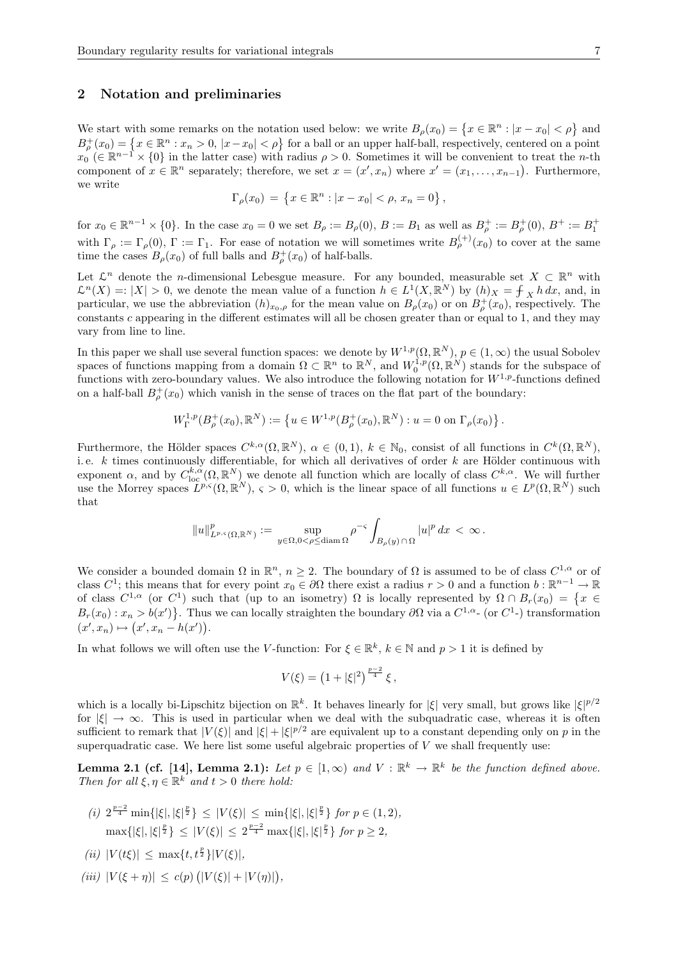## 2 Notation and preliminaries

We start with some remarks on the notation used below: we write  $B_{\rho}(x_0) = \{x \in \mathbb{R}^n : |x - x_0| < \rho\}$  and  $B_{\rho}^+(x_0) = \{x \in \mathbb{R}^n : x_n > 0, |x - x_0| < \rho\}$  for a ball or an upper half-ball, respectively, centered on a point  $x_0 \in \mathbb{R}^{n-1} \times \{0\}$  in the latter case) with radius  $\rho > 0$ . Sometimes it will be convenient to treat the *n*-th component of  $x \in \mathbb{R}^n$  separately; therefore, we set  $x = (x', x_n)$  where  $x' = (x_1, \ldots, x_{n-1})$ . Furthermore, we write

$$
\Gamma_{\rho}(x_0) = \{ x \in \mathbb{R}^n : |x - x_0| < \rho, \, x_n = 0 \},
$$

for  $x_0 \in \mathbb{R}^{n-1} \times \{0\}$ . In the case  $x_0 = 0$  we set  $B_\rho := B_\rho(0)$ ,  $B := B_1$  as well as  $B_\rho^+ := B_\rho^+(0)$ ,  $B^+ := B_1^+$ with  $\Gamma_\rho := \Gamma_\rho(0)$ ,  $\Gamma := \Gamma_1$ . For ease of notation we will sometimes write  $B_\rho^{(+)}(x_0)$  to cover at the same time the cases  $B_{\rho}(x_0)$  of full balls and  $B_{\rho}^+(x_0)$  of half-balls.

Let  $\mathcal{L}^n$  denote the *n*-dimensional Lebesgue measure. For any bounded, measurable set  $X \subset \mathbb{R}^n$  with  $\mathcal{L}^n(X) =: |X| > 0$ , we denote the mean value of a function  $h \in L^1(X, \mathbb{R}^N)$  by  $(h)_X = \int_X h \, dx$ , and, in particular, we use the abbreviation  $(h)_{x_0,\rho}$  for the mean value on  $B_\rho(x_0)$  or on  $B_\rho^+(x_0)$ , respectively. The constants c appearing in the different estimates will all be chosen greater than or equal to 1, and they may vary from line to line.

In this paper we shall use several function spaces: we denote by  $W^{1,p}(\Omega,\mathbb{R}^N)$ ,  $p\in(1,\infty)$  the usual Sobolev spaces of functions mapping from a domain  $\Omega \subset \mathbb{R}^n$  to  $\mathbb{R}^N$ , and  $W_0^{1,p}(\Omega,\mathbb{R}^N)$  stands for the subspace of functions with zero-boundary values. We also introduce the following notation for  $W^{1,p}$ -functions defined on a half-ball  $B_{\rho}^{+}(x_0)$  which vanish in the sense of traces on the flat part of the boundary:

$$
W^{1,p}_{\Gamma}(B^+_{\rho}(x_0), \mathbb{R}^N) := \left\{ u \in W^{1,p}(B^+_{\rho}(x_0), \mathbb{R}^N) : u = 0 \text{ on } \Gamma_{\rho}(x_0) \right\}.
$$

Furthermore, the Hölder spaces  $C^{k,\alpha}(\Omega,\mathbb{R}^N)$ ,  $\alpha \in (0,1)$ ,  $k \in \mathbb{N}_0$ , consist of all functions in  $C^k(\Omega,\mathbb{R}^N)$ , i.e.  $k$  times continuously differentiable, for which all derivatives of order  $k$  are Hölder continuous with exponent  $\alpha$ , and by  $C^{k,\alpha}_{\text{loc}}(\Omega,\mathbb{R}^N)$  we denote all function which are locally of class  $C^{k,\alpha}$ . We will further use the Morrey spaces  $L^{p,s}(\Omega,\mathbb{R}^N)$ ,  $\varsigma > 0$ , which is the linear space of all functions  $u \in L^p(\Omega,\mathbb{R}^N)$  such that

$$
||u||_{L^{p,\varsigma}(\Omega,\mathbb{R}^N)}^p := \sup_{y \in \Omega, 0 < \rho \le d \text{diam } \Omega} \rho^{-\varsigma} \int_{B_{\rho}(y) \cap \Omega} |u|^p \, dx < \infty.
$$

We consider a bounded domain  $\Omega$  in  $\mathbb{R}^n$ ,  $n \geq 2$ . The boundary of  $\Omega$  is assumed to be of class  $C^{1,\alpha}$  or of class  $C^1$ ; this means that for every point  $x_0 \in \partial\Omega$  there exist a radius  $r > 0$  and a function  $b : \mathbb{R}^{n-1} \to \mathbb{R}$ of class  $C^{1,\alpha}$  (or  $C^1$ ) such that (up to an isometry)  $\Omega$  is locally represented by  $\Omega \cap B_r(x_0) = \{x \in$  $B_r(x_0): x_n > b(x')\}$ . Thus we can locally straighten the boundary  $\partial\Omega$  via a  $C^{1,\alpha}$ - (or  $C^1$ -) transformation  $(x', x_n) \mapsto (x', x_n - h(x')).$ 

In what follows we will often use the V-function: For  $\xi \in \mathbb{R}^k$ ,  $k \in \mathbb{N}$  and  $p > 1$  it is defined by

$$
V(\xi) = \left(1 + |\xi|^2\right)^{\frac{p-2}{4}} \xi \,,
$$

which is a locally bi-Lipschitz bijection on  $\mathbb{R}^k$ . It behaves linearly for  $|\xi|$  very small, but grows like  $|\xi|^{p/2}$ for  $|\xi| \to \infty$ . This is used in particular when we deal with the subquadratic case, whereas it is often sufficient to remark that  $|V(\xi)|$  and  $|\xi| + |\xi|^{p/2}$  are equivalent up to a constant depending only on p in the superquadratic case. We here list some useful algebraic properties of  $V$  we shall frequently use:

**Lemma 2.1 (cf. [14], Lemma 2.1):** Let  $p \in [1,\infty)$  and  $V : \mathbb{R}^k \to \mathbb{R}^k$  be the function defined above. Then for all  $\xi, \eta \in \mathbb{R}^k$  and  $t > 0$  there hold:

- (i)  $2^{\frac{p-2}{4}} \min\{|\xi|, |\xi|^{\frac{p}{2}}\} \leq |V(\xi)| \leq \min\{|\xi|, |\xi|^{\frac{p}{2}}\}$  for  $p \in (1, 2)$ ,  $\max\{|\xi|, |\xi|^{\frac{p}{2}}\} \leq |V(\xi)| \leq 2^{\frac{p-2}{4}} \max\{|\xi|, |\xi|^{\frac{p}{2}}\}$  for  $p \geq 2$ ,
- (*ii*)  $|V(t\xi)| \leq \max\{t, t^{\frac{p}{2}}\} |V(\xi)|,$
- (iii)  $|V(\xi + \eta)| \leq c(p) (|V(\xi)| + |V(\eta)|),$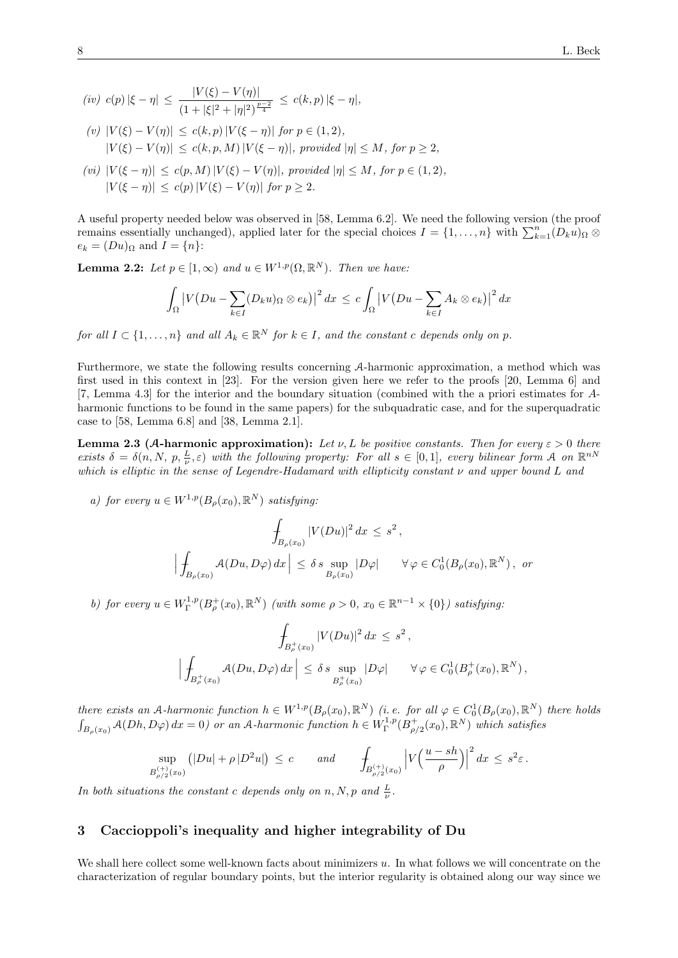- (iv)  $c(p)|\xi \eta| \leq \frac{|V(\xi) V(\eta)|}{\eta}$  $\frac{1 \cdot (s) \cdot (s)}{(1 + |\xi|^2 + |\eta|^2)^{\frac{p-2}{4}}} \leq c(k, p) |\xi - \eta|,$
- (v)  $|V(\xi) V(\eta)| \le c(k, p) |V(\xi \eta)|$  for  $p \in (1, 2)$ ,  $|V(\xi) - V(\eta)| \leq c(k, p, M) |V(\xi - \eta)|$ , provided  $|\eta| \leq M$ , for  $p \geq 2$ ,
- (vi)  $|V(\xi \eta)| \leq c(p, M)|V(\xi) V(\eta)|$ , provided  $|\eta| \leq M$ , for  $p \in (1, 2)$ ,  $|V(\xi - \eta)| \leq c(\eta) |V(\xi) - V(\eta)|$  for  $p > 2$ .

A useful property needed below was observed in [58, Lemma 6.2]. We need the following version (the proof remains essentially unchanged), applied later for the special choices  $I = \{1, \ldots, n\}$  with  $\sum_{k=1}^{n} (D_k u)_{\Omega} \otimes$  $e_k = (Du)_\Omega$  and  $I = \{n\}$ :

**Lemma 2.2:** Let  $p \in [1,\infty)$  and  $u \in W^{1,p}(\Omega,\mathbb{R}^N)$ . Then we have:

$$
\int_{\Omega} \left| V(Du - \sum_{k \in I} (D_k u)_{\Omega} \otimes e_k) \right|^2 dx \leq c \int_{\Omega} \left| V(Du - \sum_{k \in I} A_k \otimes e_k) \right|^2 dx
$$

for all  $I \subset \{1, \ldots, n\}$  and all  $A_k \in \mathbb{R}^N$  for  $k \in I$ , and the constant c depends only on p.

Furthermore, we state the following results concerning A-harmonic approximation, a method which was first used in this context in [23]. For the version given here we refer to the proofs [20, Lemma 6] and [7, Lemma 4.3] for the interior and the boundary situation (combined with the a priori estimates for Aharmonic functions to be found in the same papers) for the subquadratic case, and for the superquadratic case to [58, Lemma 6.8] and [38, Lemma 2.1].

**Lemma 2.3 (A-harmonic approximation):** Let  $\nu$ , L be positive constants. Then for every  $\varepsilon > 0$  there exists  $\delta = \delta(n, N, p, \frac{L}{\nu}, \varepsilon)$  with the following property: For all  $s \in [0, 1]$ , every bilinear form A on  $\mathbb{R}^{nN}$ which is elliptic in the sense of Legendre-Hadamard with ellipticity constant  $\nu$  and upper bound L and

a) for every  $u \in W^{1,p}(B_\rho(x_0), \mathbb{R}^N)$  satisfying:

$$
\int_{B_{\rho}(x_0)} |V(Du)|^2 dx \le s^2,
$$
\n
$$
\left| \int_{B_{\rho}(x_0)} \mathcal{A}(Du, D\varphi) dx \right| \le \delta s \sup_{B_{\rho}(x_0)} |D\varphi| \quad \forall \varphi \in C_0^1(B_{\rho}(x_0), \mathbb{R}^N), \text{ or}
$$

b) for every  $u \in W^{1,p}_\Gamma(B^+_\rho(x_0), \mathbb{R}^N)$  (with some  $\rho > 0$ ,  $x_0 \in \mathbb{R}^{n-1} \times \{0\}$ ) satisfying:

$$
\int_{B_{\rho}^+(x_0)} |V(Du)|^2 dx \le s^2,
$$
\n
$$
\left| \int_{B_{\rho}^+(x_0)} \mathcal{A}(Du, D\varphi) dx \right| \le \delta s \sup_{B_{\rho}^+(x_0)} |D\varphi| \quad \forall \varphi \in C_0^1(B_{\rho}^+(x_0), \mathbb{R}^N),
$$

there exists an A-harmonic function  $h \in W^{1,p}(B_\rho(x_0), \mathbb{R}^N)$  (i.e. for all  $\varphi \in C_0^1(B_\rho(x_0), \mathbb{R}^N)$  there holds  $\int_{B_{\rho}(x_0)} \mathcal{A}(Dh, D\varphi) dx = 0$  or an A-harmonic function  $h \in W^{1,p}_{\Gamma}(B^+_{\rho/2}(x_0), \mathbb{R}^N)$  which satisfies

$$
\sup_{B_{\rho/2}^{(+)}(x_0)} (|Du| + \rho |D^2u|) \le c \quad \text{and} \quad \int_{B_{\rho/2}^{(+)}(x_0)} \left| V\left(\frac{u - sh}{\rho}\right) \right|^2 dx \le s^2 \varepsilon.
$$

In both situations the constant c depends only on  $n, N, p$  and  $\frac{L}{\nu}$ .

# 3 Caccioppoli's inequality and higher integrability of Du

We shall here collect some well-known facts about minimizers  $u$ . In what follows we will concentrate on the characterization of regular boundary points, but the interior regularity is obtained along our way since we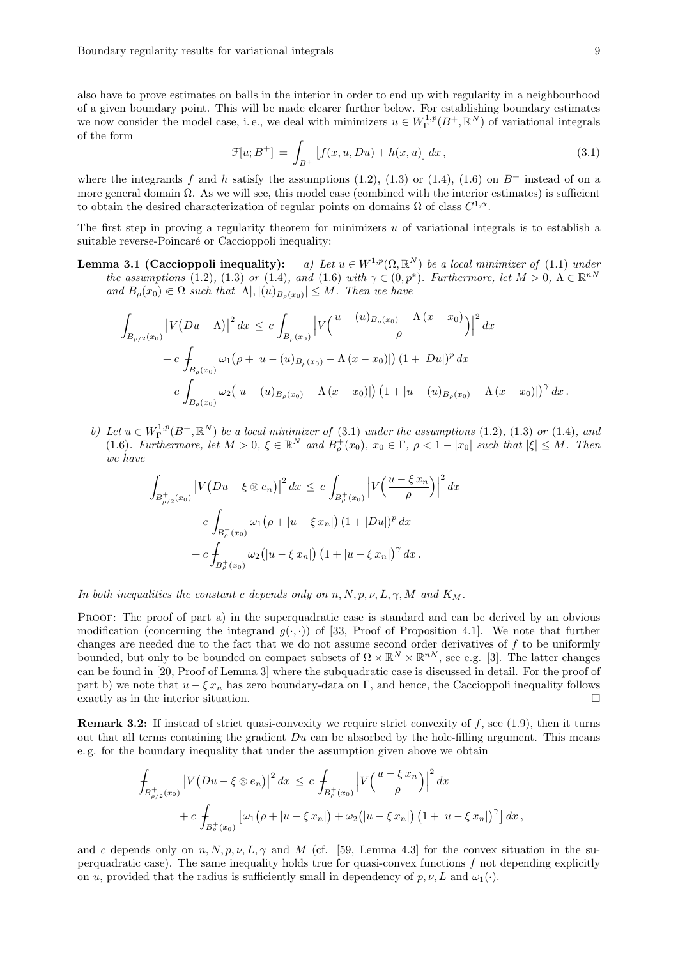also have to prove estimates on balls in the interior in order to end up with regularity in a neighbourhood of a given boundary point. This will be made clearer further below. For establishing boundary estimates we now consider the model case, i.e., we deal with minimizers  $u \in W^{1,p}_\Gamma(B^+, \mathbb{R}^N)$  of variational integrals of the form

$$
\mathcal{F}[u; B^+] = \int_{B^+} \left[ f(x, u, Du) + h(x, u) \right] dx, \tag{3.1}
$$

where the integrands f and h satisfy the assumptions (1.2), (1.3) or (1.4), (1.6) on  $B^+$  instead of on a more general domain  $\Omega$ . As we will see, this model case (combined with the interior estimates) is sufficient to obtain the desired characterization of regular points on domains  $\Omega$  of class  $C^{1,\alpha}$ .

The first step in proving a regularity theorem for minimizers  $u$  of variational integrals is to establish a suitable reverse-Poincaré or Caccioppoli inequality:

Lemma 3.1 (Caccioppoli inequality): a) Let  $u \in W^{1,p}(\Omega,\mathbb{R}^N)$  be a local minimizer of (1.1) under the assumptions (1.2), (1.3) or (1.4), and (1.6) with  $\gamma \in (0, p^*)$ . Furthermore, let  $M > 0$ ,  $\Lambda \in \mathbb{R}^{nN}$ and  $B_{\rho}(x_0) \in \Omega$  such that  $|\Lambda|, |(u)_{B_{\rho}(x_0)}| \leq M$ . Then we have

$$
\int_{B_{\rho/2}(x_0)} |V(Du - \Lambda)|^2 dx \leq c \int_{B_{\rho}(x_0)} \left| V\left(\frac{u - (u)_{B_{\rho}(x_0)} - \Lambda (x - x_0)}{\rho} \right) \right|^2 dx \n+ c \int_{B_{\rho}(x_0)} \omega_1 (\rho + |u - (u)_{B_{\rho}(x_0)} - \Lambda (x - x_0)|) (1 + |Du|)^p dx \n+ c \int_{B_{\rho}(x_0)} \omega_2 (|u - (u)_{B_{\rho}(x_0)} - \Lambda (x - x_0)|) (1 + |u - (u)_{B_{\rho}(x_0)} - \Lambda (x - x_0)|)^{\gamma} dx.
$$

b) Let  $u \in W^{1,p}_\Gamma(B^+, \mathbb{R}^N)$  be a local minimizer of (3.1) under the assumptions (1.2), (1.3) or (1.4), and (1.6). Furthermore, let  $M > 0$ ,  $\xi \in \mathbb{R}^N$  and  $B^+_{\rho}(x_0)$ ,  $x_0 \in \Gamma$ ,  $\rho < 1 - |x_0|$  such that  $|\xi| \leq M$ . Then we have

$$
\int_{B_{\rho/2}^+(x_0)} |V(Du - \xi \otimes e_n)|^2 dx \le c \int_{B_{\rho}^+(x_0)} |V(\frac{u - \xi x_n}{\rho})|^2 dx \n+ c \int_{B_{\rho}^+(x_0)} \omega_1(\rho + |u - \xi x_n|) (1 + |Du|)^p dx \n+ c \int_{B_{\rho}^+(x_0)} \omega_2(|u - \xi x_n|) (1 + |u - \xi x_n|)^{\gamma} dx.
$$

In both inequalities the constant c depends only on  $n, N, p, \nu, L, \gamma, M$  and  $K_M$ .

PROOF: The proof of part a) in the superquadratic case is standard and can be derived by an obvious modification (concerning the integrand  $g(\cdot, \cdot)$ ) of [33, Proof of Proposition 4.1]. We note that further changes are needed due to the fact that we do not assume second order derivatives of f to be uniformly bounded, but only to be bounded on compact subsets of  $\Omega \times \mathbb{R}^N \times \mathbb{R}^{n}$ , see e.g. [3]. The latter changes can be found in [20, Proof of Lemma 3] where the subquadratic case is discussed in detail. For the proof of part b) we note that  $u - \xi x_n$  has zero boundary-data on Γ, and hence, the Caccioppoli inequality follows exactly as in the interior situation.  $\Box$ 

**Remark 3.2:** If instead of strict quasi-convexity we require strict convexity of  $f$ , see (1.9), then it turns out that all terms containing the gradient  $Du$  can be absorbed by the hole-filling argument. This means e. g. for the boundary inequality that under the assumption given above we obtain

$$
\int_{B_{\rho/2}^+(x_0)} |V(Du - \xi \otimes e_n)|^2 dx \le c \int_{B_{\rho}^+(x_0)} |V(\frac{u - \xi x_n}{\rho})|^2 dx \n+ c \int_{B_{\rho}^+(x_0)} \left[\omega_1(\rho + |u - \xi x_n|) + \omega_2(|u - \xi x_n|) (1 + |u - \xi x_n|)^{\gamma}\right] dx,
$$

and c depends only on  $n, N, p, \nu, L, \gamma$  and M (cf. [59, Lemma 4.3] for the convex situation in the superquadratic case). The same inequality holds true for quasi-convex functions  $f$  not depending explicitly on u, provided that the radius is sufficiently small in dependency of  $p, \nu, L$  and  $\omega_1(\cdot)$ .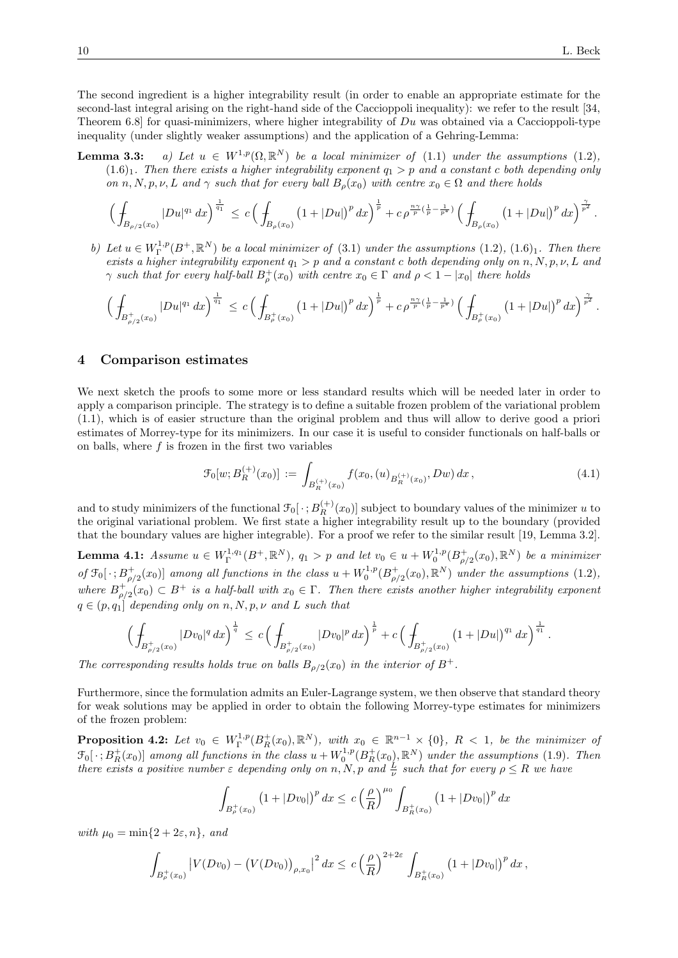The second ingredient is a higher integrability result (in order to enable an appropriate estimate for the second-last integral arising on the right-hand side of the Caccioppoli inequality): we refer to the result [34, Theorem 6.8] for quasi-minimizers, where higher integrability of  $Du$  was obtained via a Caccioppoli-type inequality (under slightly weaker assumptions) and the application of a Gehring-Lemma:

**Lemma 3.3:** a) Let  $u \in W^{1,p}(\Omega,\mathbb{R}^N)$  be a local minimizer of (1.1) under the assumptions (1.2),  $(1.6)<sub>1</sub>$ . Then there exists a higher integrability exponent  $q_1 > p$  and a constant c both depending only on n, N, p, v, L and  $\gamma$  such that for every ball  $B_o(x_0)$  with centre  $x_0 \in \Omega$  and there holds

$$
\Big(\int_{B_{\rho/2}(x_0)}|Du|^{q_1}\,dx\Big)^{\frac{1}{q_1}}\,\leq\,c\,\Big(\int_{B_{\rho}(x_0)}\big(1+|Du|\big)^p\,dx\Big)^{\frac{1}{p}}+c\,\rho^{\frac{n\gamma}{p}(\frac{1}{p}-\frac{1}{p^*})}\,\Big(\int_{B_{\rho}(x_0)}\big(1+|Du|\big)^p\,dx\Big)^{\frac{\gamma}{p^2}}\,.
$$

b) Let  $u \in W^{1,p}_\Gamma(B^+, \mathbb{R}^N)$  be a local minimizer of (3.1) under the assumptions (1.2), (1.6)<sub>1</sub>. Then there exists a higher integrability exponent  $q_1 > p$  and a constant c both depending only on n, N, p, v, L and  $\gamma$  such that for every half-ball  $B_{\rho}^+(x_0)$  with centre  $x_0 \in \Gamma$  and  $\rho < 1 - |x_0|$  there holds

$$
\Big(\int_{B_{\rho/2}^+(x_0)}|Du|^{q_1}\,dx\Big)^{\frac{1}{q_1}}\,\leq\,c\,\Big(\int_{B_{\rho}^+(x_0)}\big(1+|Du|\big)^p\,dx\Big)^{\frac{1}{p}}+c\,\rho^{\frac{n\gamma}{p}(\frac{1}{p}-\frac{1}{p^*})}\,\Big(\int_{B_{\rho}^+(x_0)}\big(1+|Du|\big)^p\,dx\Big)^{\frac{\gamma}{p^2}}\,.
$$

#### 4 Comparison estimates

We next sketch the proofs to some more or less standard results which will be needed later in order to apply a comparison principle. The strategy is to define a suitable frozen problem of the variational problem (1.1), which is of easier structure than the original problem and thus will allow to derive good a priori estimates of Morrey-type for its minimizers. In our case it is useful to consider functionals on half-balls or on balls, where  $f$  is frozen in the first two variables

$$
\mathcal{F}_0[w; B_R^{(+)}(x_0)] := \int_{B_R^{(+)}(x_0)} f(x_0, (u)_{B_R^{(+)}(x_0)}, Dw) dx , \qquad (4.1)
$$

and to study minimizers of the functional  $\mathcal{F}_0[\, \cdot \,; B_R^{(+)}(x_0)]$  subject to boundary values of the minimizer u to the original variational problem. We first state a higher integrability result up to the boundary (provided that the boundary values are higher integrable). For a proof we refer to the similar result [19, Lemma 3.2].

**Lemma 4.1:** Assume  $u \in W^{1,q_1}_\Gamma(B^+, \mathbb{R}^N)$ ,  $q_1 > p$  and let  $v_0 \in u + W^{1,p}_0(B^+_{\rho/2}(x_0), \mathbb{R}^N)$  be a minimizer of  $\mathfrak{F}_0[\,\cdot\,;B^+_{\rho/2}(x_0)]$  among all functions in the class  $u+W_0^{1,p}(B^+_{\rho/2}(x_0),\mathbb{R}^N)$  under the assumptions (1.2), where  $B_{\rho/2}^+(x_0) \subset B^+$  is a half-ball with  $x_0 \in \Gamma$ . Then there exists another higher integrability exponent  $q \in (p,q_1]$  depending only on n, N, p, v and L such that

$$
\Big(\int_{B_{\rho/2}^+(x_0)}|Dv_0|^q\,dx\Big)^{\frac{1}{q}}\,\leq\,c\,\Big(\int_{B_{\rho/2}^+(x_0)}|Dv_0|^p\,dx\Big)^{\frac{1}{p}}+c\,\Big(\int_{B_{\rho/2}^+(x_0)}\big(1+|Du|\big)^{q_1}\,dx\Big)^{\frac{1}{q_1}}\,.
$$

The corresponding results holds true on balls  $B_{\rho/2}(x_0)$  in the interior of  $B^+$ .

Furthermore, since the formulation admits an Euler-Lagrange system, we then observe that standard theory for weak solutions may be applied in order to obtain the following Morrey-type estimates for minimizers of the frozen problem:

**Proposition 4.2:** Let  $v_0 \in W^{1,p}_\Gamma(B_R^+(x_0), \mathbb{R}^N)$ , with  $x_0 \in \mathbb{R}^{n-1} \times \{0\}$ ,  $R < 1$ , be the minimizer of  $\mathfrak{F}_0[\,\cdot\,;B^+_R(x_0)]$  among all functions in the class  $u+W^{1,p}_0(B^+_R(x_0),{\mathbb R}^N)$  under the assumptions (1.9). Then there exists a positive number  $\varepsilon$  depending only on n, N, p and  $\frac{L}{\nu}$  such that for every  $\rho \leq R$  we have

$$
\int_{B_{\rho}^{+}(x_{0})} (1+|Dv_{0}|)^{p} dx \le c \left(\frac{\rho}{R}\right)^{\mu_{0}} \int_{B_{R}^{+}(x_{0})} (1+|Dv_{0}|)^{p} dx
$$

with  $\mu_0 = \min\{2 + 2\varepsilon, n\}$ , and

$$
\int_{B_{\rho}^+(x_0)} \left| V(Dv_0) - \left( V(Dv_0) \right)_{\rho,x_0} \right|^2 dx \leq c \left( \frac{\rho}{R} \right)^{2+2\varepsilon} \int_{B_R^+(x_0)} \left( 1 + |Dv_0| \right)^p dx,
$$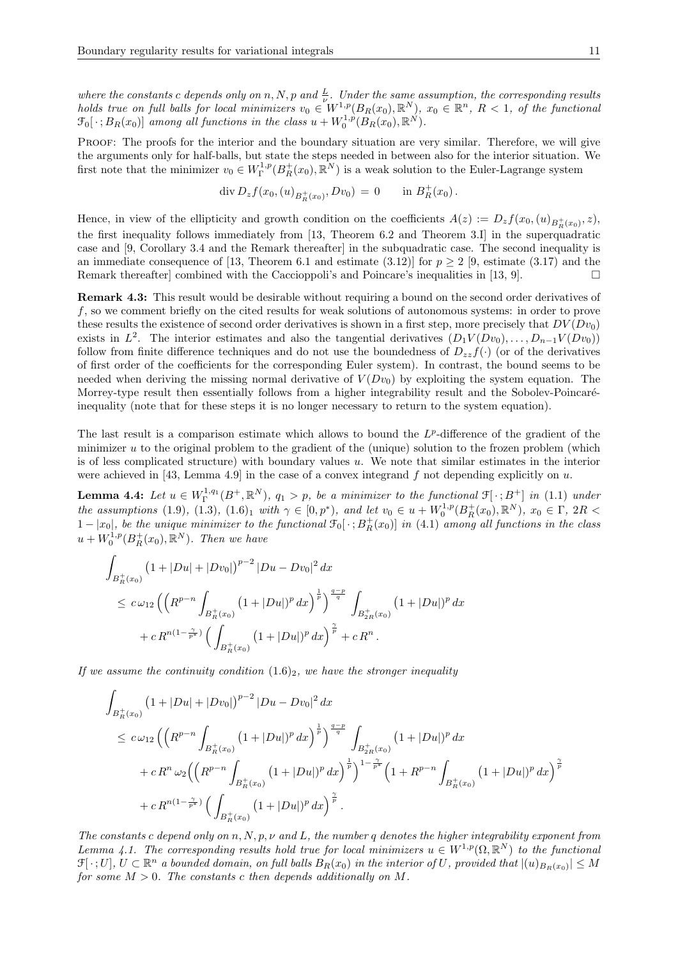where the constants c depends only on n, N, p and  $\frac{L}{\nu}$ . Under the same assumption, the corresponding results holds true on full balls for local minimizers  $v_0 \in W^{1,p}(B_R(x_0), \mathbb{R}^N)$ ,  $x_0 \in \mathbb{R}^n$ ,  $R < 1$ , of the functional  $\mathcal{F}_0[\,\cdot\,;B_R(x_0)]$  among all functions in the class  $u+W_0^{1,p}(B_R(x_0),\mathbb{R}^N)$ .

PROOF: The proofs for the interior and the boundary situation are very similar. Therefore, we will give the arguments only for half-balls, but state the steps needed in between also for the interior situation. We first note that the minimizer  $v_0 \in W^{1,p}_\Gamma(B^+_R(x_0), \mathbb{R}^N)$  is a weak solution to the Euler-Lagrange system

$$
\operatorname{div} D_z f(x_0, (u)_{B_R^+(x_0)}, Dv_0) = 0 \quad \text{in } B_R^+(x_0).
$$

Hence, in view of the ellipticity and growth condition on the coefficients  $A(z) := D_z f(x_0, (u)_{B_R^+(x_0)}, z)$ , the first inequality follows immediately from [13, Theorem 6.2 and Theorem 3.I] in the superquadratic case and [9, Corollary 3.4 and the Remark thereafter] in the subquadratic case. The second inequality is an immediate consequence of [13, Theorem 6.1 and estimate  $(3.12)$ ] for  $p \ge 2$  [9, estimate (3.17) and the Remark thereafter combined with the Caccioppoli's and Poincare's inequalities in [13, 9].

Remark 4.3: This result would be desirable without requiring a bound on the second order derivatives of f, so we comment briefly on the cited results for weak solutions of autonomous systems: in order to prove these results the existence of second order derivatives is shown in a first step, more precisely that  $DV(Dv_0)$ exists in  $L^2$ . The interior estimates and also the tangential derivatives  $(D_1V(Dv_0), \ldots, D_{n-1}V(Dv_0))$ follow from finite difference techniques and do not use the boundedness of  $D_{zz}f(\cdot)$  (or of the derivatives of first order of the coefficients for the corresponding Euler system). In contrast, the bound seems to be needed when deriving the missing normal derivative of  $V(Dv_0)$  by exploiting the system equation. The Morrey-type result then essentially follows from a higher integrability result and the Sobolev-Poincaréinequality (note that for these steps it is no longer necessary to return to the system equation).

The last result is a comparison estimate which allows to bound the  $L^p$ -difference of the gradient of the minimizer u to the original problem to the gradient of the (unique) solution to the frozen problem (which is of less complicated structure) with boundary values  $u$ . We note that similar estimates in the interior were achieved in [43, Lemma 4.9] in the case of a convex integrand f not depending explicitly on u.

**Lemma 4.4:** Let  $u \in W^{1,q_1}_\Gamma(B^+, \mathbb{R}^N)$ ,  $q_1 > p$ , be a minimizer to the functional  $\mathfrak{F}[\cdot; B^+]$  in (1.1) under the assumptions (1.9), (1.3), (1.6)<sub>1</sub> with  $\gamma \in [0, p^*)$ , and let  $v_0 \in u + W_0^{1,p}(B_R^+(x_0), \mathbb{R}^N)$ ,  $x_0 \in \Gamma$ ,  $2R <$  $1-|x_0|$ , be the unique minimizer to the functional  $\mathfrak{F}_0[\,\cdot\,;B^+_R(x_0)]$  in (4.1) among all functions in the class  $u+W_0^{1,p}(B_R^+(x_0),\mathbb{R}^N)$ . Then we have

$$
\int_{B_R^+(x_0)} (1+|Du|+|Dv_0|)^{p-2} |Du - Dv_0|^2 dx
$$
\n
$$
\leq c\omega_{12} \left( \left( R^{p-n} \int_{B_R^+(x_0)} (1+|Du|)^p dx \right)^{\frac{1}{p}} \right)^{\frac{q-p}{q}} \int_{B_{2R}^+(x_0)} (1+|Du|)^p dx
$$
\n
$$
+ c R^{n(1-\frac{\gamma}{p^*})} \left( \int_{B_R^+(x_0)} (1+|Du|)^p dx \right)^{\frac{\gamma}{p}} + c R^n.
$$

If we assume the continuity condition  $(1.6)_2$ , we have the stronger inequality

$$
\int_{B_R^+(x_0)} (1+|Du|+|Dv_0|)^{p-2} |Du - Dv_0|^2 dx
$$
\n
$$
\leq c\omega_{12} \left( \left( R^{p-n} \int_{B_R^+(x_0)} (1+|Du|)^p dx \right)^{\frac{1}{p}} \right)^{\frac{q-p}{q}} \int_{B_{2R}^+(x_0)} (1+|Du|)^p dx
$$
\n
$$
+ c R^n \omega_2 \left( \left( R^{p-n} \int_{B_R^+(x_0)} (1+|Du|)^p dx \right)^{\frac{1}{p}} \right)^{1-\frac{\gamma}{p^*}} \left( 1 + R^{p-n} \int_{B_R^+(x_0)} (1+|Du|)^p dx \right)^{\frac{\gamma}{p}}
$$
\n
$$
+ c R^{n(1-\frac{\gamma}{p^*})} \left( \int_{B_R^+(x_0)} (1+|Du|)^p dx \right)^{\frac{\gamma}{p}}.
$$

The constants c depend only on n, N, p,  $\nu$  and L, the number q denotes the higher integrability exponent from Lemma 4.1. The corresponding results hold true for local minimizers  $u \in W^{1,p}(\Omega,\mathbb{R}^N)$  to the functional  $\mathfrak{F}[\,\cdot\,;U],\,U\subset\mathbb{R}^n$  a bounded domain, on full balls  $B_R(x_0)$  in the interior of U, provided that  $|(u)_{B_R(x_0)}|\leq M$ for some  $M > 0$ . The constants c then depends additionally on M.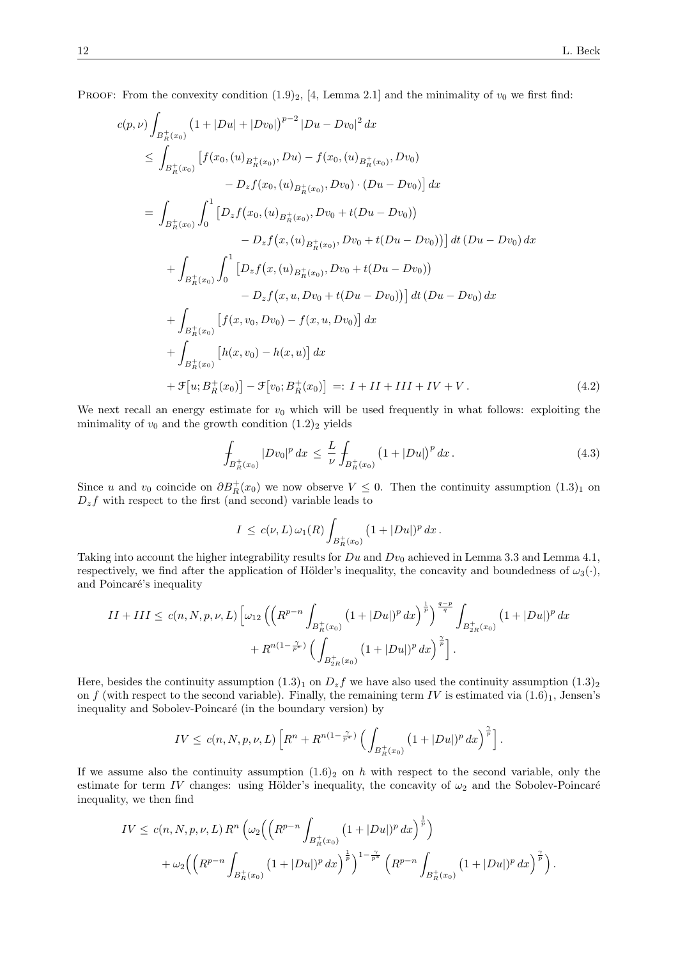PROOF: From the convexity condition  $(1.9)_2$ , [4, Lemma 2.1] and the minimality of  $v_0$  we first find:

$$
c(p,\nu)\int_{B_R^+(x_0)} (1+|Du|+|Dv_0|)^{p-2} |Du - Dv_0|^2 dx
$$
  
\n
$$
\leq \int_{B_R^+(x_0)} [f(x_0,(u)_{B_R^+(x_0)},Du) - f(x_0,(u)_{B_R^+(x_0)},Dv_0)
$$
  
\n
$$
- D_z f(x_0,(u)_{B_R^+(x_0)},Dv_0) \cdot (Du - Dv_0)] dx
$$
  
\n
$$
= \int_{B_R^+(x_0)} \int_0^1 [D_z f(x_0,(u)_{B_R^+(x_0)},Dv_0 + t(Du - Dv_0))
$$
  
\n
$$
- D_z f(x,(u)_{B_R^+(x_0)},Dv_0 + t(Du - Dv_0))] dt (Du - Dv_0) dx
$$
  
\n
$$
+ \int_{B_R^+(x_0)} \int_0^1 [D_z f(x,(u)_{B_R^+(x_0)},Dv_0 + t(Du - Dv_0))]
$$
  
\n
$$
- D_z f(x,u,Dv_0 + t(Du - Dv_0))] dt (Du - Dv_0) dx
$$
  
\n
$$
+ \int_{B_R^+(x_0)} [f(x,v_0,Dv_0) - f(x,u,Dv_0)] dx
$$
  
\n
$$
+ \int_{B_R^+(x_0)} [h(x,v_0) - h(x,u)] dx
$$
  
\n
$$
+ \mathcal{F}[u; B_R^+(x_0)] - \mathcal{F}[v_0; B_R^+(x_0)] =: I + II + III + IV + V.
$$
 (4.2)

We next recall an energy estimate for  $v_0$  which will be used frequently in what follows: exploiting the minimality of  $v_0$  and the growth condition  $(1.2)_2$  yields

$$
\int_{B_R^+(x_0)} |Dv_0|^p \, dx \le \frac{L}{\nu} \int_{B_R^+(x_0)} \left(1 + |Du|\right)^p \, dx \,. \tag{4.3}
$$

Since u and  $v_0$  coincide on  $\partial B_R^+(x_0)$  we now observe  $V \leq 0$ . Then the continuity assumption  $(1.3)_1$  on  $D_z f$  with respect to the first (and second) variable leads to

$$
I \le c(\nu, L) \,\omega_1(R) \int_{B_R^+(x_0)} (1 + |Du|)^p \, dx \, .
$$

Taking into account the higher integrability results for  $Du$  and  $Dv_0$  achieved in Lemma 3.3 and Lemma 4.1, respectively, we find after the application of Hölder's inequality, the concavity and boundedness of  $\omega_3(\cdot)$ , and Poincaré's inequality

$$
II + III \le c(n, N, p, \nu, L) \left[ \omega_{12} \left( \left( R^{p-n} \int_{B_{R}^{+}(x_{0})} \left( 1 + |Du| \right)^{p} dx \right)^{\frac{1}{p}} \right)^{\frac{q-p}{q}} \int_{B_{2R}^{+}(x_{0})} \left( 1 + |Du| \right)^{p} dx + R^{n(1-\frac{\gamma}{p^{*}})} \left( \int_{B_{2R}^{+}(x_{0})} \left( 1 + |Du| \right)^{p} dx \right)^{\frac{\gamma}{p}} \right].
$$

Here, besides the continuity assumption  $(1.3)_1$  on  $D_z f$  we have also used the continuity assumption  $(1.3)_2$ on f (with respect to the second variable). Finally, the remaining term IV is estimated via  $(1.6)_1$ , Jensen's inequality and Sobolev-Poincaré (in the boundary version) by

$$
IV \leq c(n, N, p, \nu, L) \left[ R^n + R^{n(1-\frac{\gamma}{p^*})} \left( \int_{B_R^+(x_0)} \left( 1 + |Du| \right)^p dx \right)^{\frac{\gamma}{p}} \right].
$$

If we assume also the continuity assumption  $(1.6)_2$  on h with respect to the second variable, only the estimate for term IV changes: using Hölder's inequality, the concavity of  $\omega_2$  and the Sobolev-Poincaré inequality, we then find

$$
IV \le c(n, N, p, \nu, L) R^{n} \left( \omega_{2} \left( \left( R^{p-n} \int_{B_{R}^{+}(x_{0})} \left( 1 + |Du| \right)^{p} dx \right)^{\frac{1}{p}} \right) + \omega_{2} \left( \left( R^{p-n} \int_{B_{R}^{+}(x_{0})} \left( 1 + |Du| \right)^{p} dx \right)^{\frac{1}{p}} \right)^{1-\frac{\gamma}{p^{*}}} \left( R^{p-n} \int_{B_{R}^{+}(x_{0})} \left( 1 + |Du| \right)^{p} dx \right)^{\frac{\gamma}{p}} \right).
$$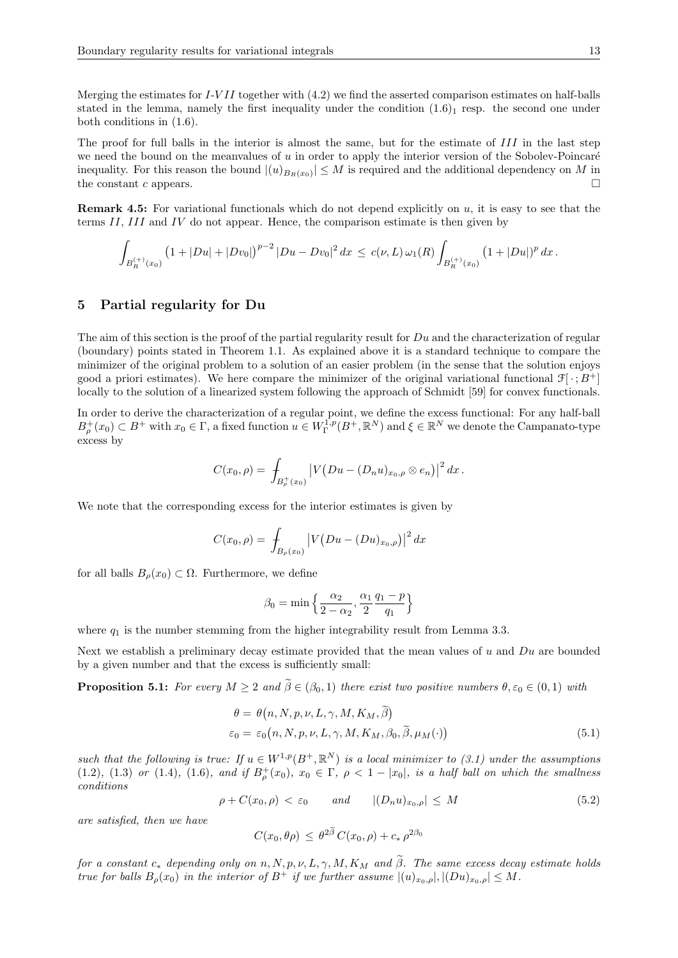Merging the estimates for  $I-VII$  together with  $(4.2)$  we find the asserted comparison estimates on half-balls stated in the lemma, namely the first inequality under the condition  $(1.6)_1$  resp. the second one under both conditions in (1.6).

The proof for full balls in the interior is almost the same, but for the estimate of III in the last step we need the bound on the meanvalues of  $u$  in order to apply the interior version of the Sobolev-Poincaré inequality. For this reason the bound  $|(u)_{B_R(x_0)}| \leq M$  is required and the additional dependency on M in the constant c appears.  $\square$ 

**Remark 4.5:** For variational functionals which do not depend explicitly on  $u$ , it is easy to see that the terms II, III and IV do not appear. Hence, the comparison estimate is then given by

$$
\int_{B_R^{(+)}(x_0)} \left(1+|Du|+|Dv_0|\right)^{p-2} |Du-Dv_0|^2 \, dx \leq c(\nu, L) \, \omega_1(R) \int_{B_R^{(+)}(x_0)} \left(1+|Du| \right)^p \, dx \, .
$$

#### 5 Partial regularity for Du

The aim of this section is the proof of the partial regularity result for  $Du$  and the characterization of regular (boundary) points stated in Theorem 1.1. As explained above it is a standard technique to compare the minimizer of the original problem to a solution of an easier problem (in the sense that the solution enjoys good a priori estimates). We here compare the minimizer of the original variational functional  $\mathcal{F}[\cdot; B^+]$ locally to the solution of a linearized system following the approach of Schmidt [59] for convex functionals.

In order to derive the characterization of a regular point, we define the excess functional: For any half-ball  $B_{\rho}^+(x_0) \subset B^+$  with  $x_0 \in \Gamma$ , a fixed function  $u \in W^{\overline{1},p}_{\Gamma}(B^+, \mathbb{R}^N)$  and  $\xi \in \mathbb{R}^N$  we denote the Campanato-type excess by

$$
C(x_0, \rho) = \int_{B_{\rho}^+(x_0)} \left| V(Du - (D_n u)_{x_0, \rho} \otimes e_n) \right|^2 dx.
$$

We note that the corresponding excess for the interior estimates is given by

$$
C(x_0, \rho) = \int_{B_{\rho}(x_0)} |V(Du - (Du)_{x_0, \rho})|^2 dx
$$

for all balls  $B_{\rho}(x_0) \subset \Omega$ . Furthermore, we define

$$
\beta_0 = \min\left\{\frac{\alpha_2}{2-\alpha_2}, \frac{\alpha_1}{2}\frac{q_1-p}{q_1}\right\}
$$

where  $q_1$  is the number stemming from the higher integrability result from Lemma 3.3.

Next we establish a preliminary decay estimate provided that the mean values of  $u$  and  $Du$  are bounded by a given number and that the excess is sufficiently small:

**Proposition 5.1:** For every  $M \geq 2$  and  $\tilde{\beta} \in (\beta_0, 1)$  there exist two positive numbers  $\theta, \varepsilon_0 \in (0, 1)$  with

$$
\theta = \theta(n, N, p, \nu, L, \gamma, M, K_M, \tilde{\beta})
$$
  
\n
$$
\varepsilon_0 = \varepsilon_0(n, N, p, \nu, L, \gamma, M, K_M, \beta_0, \tilde{\beta}, \mu_M(\cdot))
$$
\n(5.1)

such that the following is true: If  $u \in W^{1,p}(B^+, \mathbb{R}^N)$  is a local minimizer to (3.1) under the assumptions (1.2), (1.3) or (1.4), (1.6), and if  $B^+_{\rho}(x_0)$ ,  $x_0 \in \Gamma$ ,  $\rho < 1 - |x_0|$ , is a half ball on which the smallness conditions

$$
\rho + C(x_0, \rho) < \varepsilon_0 \qquad \text{and} \qquad |(D_n u)_{x_0, \rho}| \le M \tag{5.2}
$$

are satisfied, then we have

$$
C(x_0, \theta \rho) \leq \theta^{2\beta} C(x_0, \rho) + c_* \rho^{2\beta_0}
$$

for a constant  $c_*$  depending only on n, N, p, v, L,  $\gamma$ , M, K<sub>M</sub> and  $\tilde{\beta}$ . The same excess decay estimate holds true for balls  $B_{\rho}(x_0)$  in the interior of  $B^+$  if we further assume  $|(u)_{x_0,\rho}|, |(Du)_{x_0,\rho}| \leq M$ .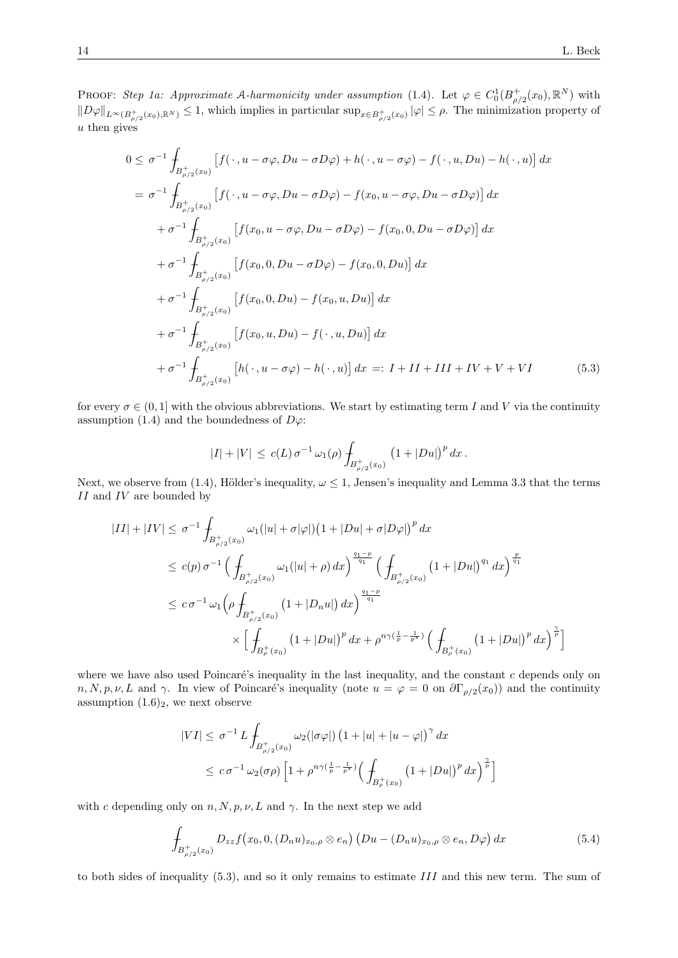PROOF: Step 1a: Approximate A-harmonicity under assumption (1.4). Let  $\varphi \in C_0^1(B_{\rho/2}^+(x_0), \mathbb{R}^N)$  with  $||D\varphi||_{L^{\infty}(B^+_{\rho/2}(x_0),\mathbb{R}^N)} \leq 1$ , which implies in particular  $\sup_{x\in B^+_{\rho/2}(x_0)} |\varphi| \leq \rho$ . The minimization property of  $u$  then gives

$$
\leq \sigma^{-1} \int_{B_{\rho/2}^+(x_0)} \left[ f(\cdot, u - \sigma \varphi, Du - \sigma D\varphi) + h(\cdot, u - \sigma \varphi) - f(\cdot, u, Du) - h(\cdot, u) \right] dx
$$
  
\n
$$
= \sigma^{-1} \int_{B_{\rho/2}^+(x_0)} \left[ f(\cdot, u - \sigma \varphi, Du - \sigma D\varphi) - f(x_0, u - \sigma \varphi, Du - \sigma D\varphi) \right] dx
$$
  
\n
$$
+ \sigma^{-1} \int_{B_{\rho/2}^+(x_0)} \left[ f(x_0, u - \sigma \varphi, Du - \sigma D\varphi) - f(x_0, 0, Du - \sigma D\varphi) \right] dx
$$
  
\n
$$
+ \sigma^{-1} \int_{B_{\rho/2}^+(x_0)} \left[ f(x_0, 0, Du - \sigma D\varphi) - f(x_0, 0, Du) \right] dx
$$
  
\n
$$
+ \sigma^{-1} \int_{B_{\rho/2}^+(x_0)} \left[ f(x_0, 0, Du) - f(x_0, u, Du) \right] dx
$$
  
\n
$$
+ \sigma^{-1} \int_{B_{\rho/2}^+(x_0)} \left[ f(x_0, u, Du) - f(\cdot, u, Du) \right] dx
$$
  
\n
$$
+ \sigma^{-1} \int_{B_{\rho/2}^+(x_0)} \left[ f(x_0, u, Du) - f(\cdot, u, Du) \right] dx =: I + II + III + IV + V + VI \tag{5.3}
$$

for every  $\sigma \in (0, 1]$  with the obvious abbreviations. We start by estimating term I and V via the continuity assumption (1.4) and the boundedness of  $D\varphi$ :

$$
|I|+|V| \le c(L)\,\sigma^{-1}\,\omega_1(\rho)\int_{B_{\rho/2}^+(x_0)}\,\left(1+|Du|\right)^p\,dx\,.
$$

Next, we observe from (1.4), Hölder's inequality,  $\omega \leq 1$ , Jensen's inequality and Lemma 3.3 that the terms  $II$  and  $IV$  are bounded by

$$
|II| + |IV| \leq \sigma^{-1} \int_{B_{\rho/2}^+(x_0)} \omega_1(|u| + \sigma |\varphi|) \left(1 + |Du| + \sigma |D\varphi|\right)^p dx
$$
  
\n
$$
\leq c(p) \sigma^{-1} \Big( \int_{B_{\rho/2}^+(x_0)} \omega_1(|u| + \rho) dx \Big)^{\frac{q_1 - p}{q_1}} \Big( \int_{B_{\rho/2}^+(x_0)} \left(1 + |Du|\right)^{q_1} dx \Big)^{\frac{p}{q_1}}
$$
  
\n
$$
\leq c \sigma^{-1} \omega_1 \Big( \rho \int_{B_{\rho/2}^+(x_0)} \left(1 + |D_n u|\right) dx \Big)^{\frac{q_1 - p}{q_1}}
$$
  
\n
$$
\times \Big[ \int_{B_{\rho}^+(x_0)} \left(1 + |Du|\right)^p dx + \rho^{n\gamma(\frac{1}{p} - \frac{1}{p^*})} \Big( \int_{B_{\rho}^+(x_0)} \left(1 + |Du|\right)^p dx \Big)^{\frac{\gamma}{p}} \Big]
$$

where we have also used Poincaré's inequality in the last inequality, and the constant  $c$  depends only on  $n, N, p, \nu, L$  and  $\gamma$ . In view of Poincaré's inequality (note  $u = \varphi = 0$  on  $\partial \Gamma_{\rho/2}(x_0)$ ) and the continuity assumption  $(1.6)_2$ , we next observe

$$
|VI| \leq \sigma^{-1} L \int_{B_{\rho/2}^+(x_0)} \omega_2(|\sigma \varphi|) \left(1 + |u| + |u - \varphi|\right)^{\gamma} dx
$$
  

$$
\leq c \sigma^{-1} \omega_2(\sigma \rho) \left[1 + \rho^{n\gamma(\frac{1}{p} - \frac{1}{p^*})} \left(\int_{B_{\rho}^+(x_0)} \left(1 + |Du|\right)^p dx\right)^{\frac{\gamma}{p}}\right]
$$

with c depending only on  $n, N, p, \nu, L$  and  $\gamma$ . In the next step we add

$$
\int_{B_{\rho/2}^+(x_0)} D_{zz} f(x_0, 0, (D_n u)_{x_0, \rho} \otimes e_n) (Du - (D_n u)_{x_0, \rho} \otimes e_n, D\varphi) dx \tag{5.4}
$$

to both sides of inequality (5.3), and so it only remains to estimate III and this new term. The sum of

 $\overline{0}$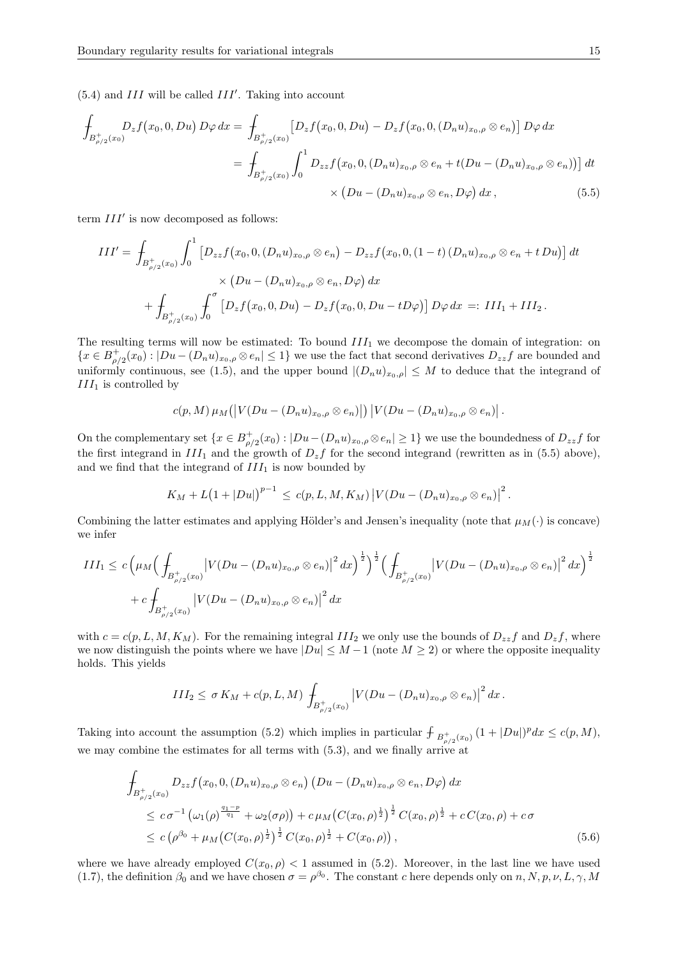$(5.4)$  and  $III$  will be called  $III'$ . Taking into account

$$
\int_{B_{\rho/2}^+(x_0)} D_z f(x_0, 0, Du) D\varphi dx = \int_{B_{\rho/2}^+(x_0)} \left[ D_z f(x_0, 0, Du) - D_z f(x_0, 0, (D_n u)_{x_0, \rho} \otimes e_n) \right] D\varphi dx
$$
\n
$$
= \int_{B_{\rho/2}^+(x_0)} \int_0^1 D_{zz} f(x_0, 0, (D_n u)_{x_0, \rho} \otimes e_n + t(Du - (D_n u)_{x_0, \rho} \otimes e_n)) \, dt
$$
\n
$$
\times \left( Du - (D_n u)_{x_0, \rho} \otimes e_n, D\varphi \right) dx, \tag{5.5}
$$

term  $III'$  is now decomposed as follows:

$$
III' = \int_{B_{\rho/2}^+(x_0)} \int_0^1 \left[ D_{zz} f(x_0, 0, (D_n u)_{x_0, \rho} \otimes e_n) - D_{zz} f(x_0, 0, (1-t) (D_n u)_{x_0, \rho} \otimes e_n + t D u) \right] dt
$$
  
\$\times (Du - (D\_n u)\_{x\_0, \rho} \otimes e\_n, D\varphi) dx\$  
\$+ \int\_{B\_{\rho/2}^+(x\_0)} \int\_0^{\sigma} \left[ D\_z f(x\_0, 0, Du) - D\_z f(x\_0, 0, Du - t D\varphi) \right] D\varphi dx =: III\_1 + III\_2\$.

The resulting terms will now be estimated: To bound  $III<sub>1</sub>$  we decompose the domain of integration: on  ${x \in B_{\rho/2}^+(x_0): |Du - (D_nu)_{x_0,\rho} \otimes e_n| \leq 1}$  we use the fact that second derivatives  $D_{zz}f$  are bounded and uniformly continuous, see (1.5), and the upper bound  $|(D_n u)_{x_0,\rho}| \leq M$  to deduce that the integrand of  $\RN{111}$  is controlled by

$$
c(p,M)\mu_M(|V(Du-(D_n u)_{x_0,\rho}\otimes e_n)|)|V(Du-(D_n u)_{x_0,\rho}\otimes e_n)|.
$$

On the complementary set  $\{x \in B_{\rho/2}^+(x_0): |Du-(D_nu)_{x_0,\rho}\otimes e_n| \geq 1\}$  we use the boundedness of  $D_{zz}f$  for the first integrand in  $III_1$  and the growth of  $D_z f$  for the second integrand (rewritten as in (5.5) above), and we find that the integrand of  $III_1$  is now bounded by

$$
K_M + L(1+|Du|)^{p-1} \le c(p, L, M, K_M) |V(Du - (D_n u)_{x_0, \rho} \otimes e_n)|^2.
$$

Combining the latter estimates and applying Hölder's and Jensen's inequality (note that  $\mu_M(\cdot)$  is concave) we infer

$$
III_1 \le c \left(\mu_M \left(\frac{1}{\int_{B_{\rho/2}^+(x_0)} \left|V(Du - (D_n u)_{x_0, \rho} \otimes e_n)\right|^2 dx\right)^{\frac{1}{2}}\right)^{\frac{1}{2}} \left(\frac{1}{\int_{B_{\rho/2}^+(x_0)} \left|V(Du - (D_n u)_{x_0, \rho} \otimes e_n)\right|^2 dx\right)^{\frac{1}{2}}
$$
  
+  $c \int_{B_{\rho/2}^+(x_0)} \left|V(Du - (D_n u)_{x_0, \rho} \otimes e_n)\right|^2 dx$ 

with  $c = c(p, L, M, K_M)$ . For the remaining integral  $III_2$  we only use the bounds of  $D_{zz}f$  and  $D_zf$ , where we now distinguish the points where we have  $|Du| \leq M-1$  (note  $M \geq 2$ ) or where the opposite inequality holds. This yields

$$
III_2 \leq \sigma K_M + c(p, L, M) \int_{B_{\rho/2}^+(x_0)} \left| V(Du - (D_n u)_{x_0, \rho} \otimes e_n) \right|^2 dx.
$$

Taking into account the assumption (5.2) which implies in particular  $\int_{B_{\rho/2}^+(x_0)} (1+|Du|)^p dx \leq c(p,M)$ , we may combine the estimates for all terms with (5.3), and we finally arrive at

$$
\int_{B_{\rho/2}^+(x_0)} D_{zz}f(x_0, 0, (D_n u)_{x_0, \rho} \otimes e_n) (Du - (D_n u)_{x_0, \rho} \otimes e_n, D\varphi) dx
$$
\n
$$
\leq c \sigma^{-1} \left( \omega_1(\rho)^{\frac{q_1 - p}{q_1}} + \omega_2(\sigma \rho) \right) + c \mu_M \left( C(x_0, \rho)^{\frac{1}{2}} \right)^{\frac{1}{2}} C(x_0, \rho)^{\frac{1}{2}} + c C(x_0, \rho) + c \sigma
$$
\n
$$
\leq c \left( \rho^{\beta_0} + \mu_M \left( C(x_0, \rho)^{\frac{1}{2}} \right)^{\frac{1}{2}} C(x_0, \rho)^{\frac{1}{2}} + C(x_0, \rho) \right), \tag{5.6}
$$

where we have already employed  $C(x_0, \rho) < 1$  assumed in (5.2). Moreover, in the last line we have used (1.7), the definition  $\beta_0$  and we have chosen  $\sigma = \rho^{\beta_0}$ . The constant c here depends only on  $n, N, p, \nu, L, \gamma, M$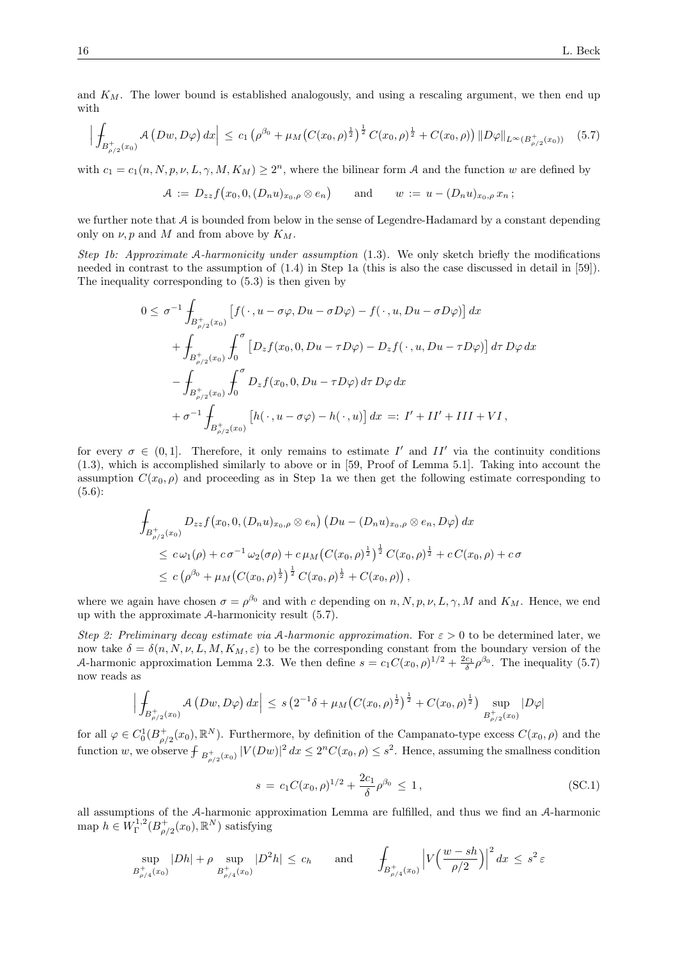and  $K_M$ . The lower bound is established analogously, and using a rescaling argument, we then end up with

$$
\left| \int_{B_{\rho/2}^+(x_0)} \mathcal{A}\left(Dw, D\varphi\right) dx \right| \leq c_1 \left( \rho^{\beta_0} + \mu_M \left( C(x_0, \rho)^{\frac{1}{2}} \right)^{\frac{1}{2}} C(x_0, \rho)^{\frac{1}{2}} + C(x_0, \rho) \right) \|D\varphi\|_{L^{\infty}(B_{\rho/2}^+(x_0))} \tag{5.7}
$$

with  $c_1 = c_1(n, N, p, \nu, L, \gamma, M, K_M) \geq 2^n$ , where the bilinear form A and the function w are defined by

$$
A := D_{zz} f(x_0, 0, (D_n u)_{x_0, \rho} \otimes e_n) \quad \text{and} \quad w := u - (D_n u)_{x_0, \rho} x_n ;
$$

we further note that  $A$  is bounded from below in the sense of Legendre-Hadamard by a constant depending only on  $\nu$ , p and M and from above by  $K_M$ .

Step 1b: Approximate A-harmonicity under assumption (1.3). We only sketch briefly the modifications needed in contrast to the assumption of (1.4) in Step 1a (this is also the case discussed in detail in [59]). The inequality corresponding to (5.3) is then given by

$$
0 \leq \sigma^{-1} \int_{B_{\rho/2}^+(x_0)} \left[ f(\cdot, u - \sigma\varphi, Du - \sigma D\varphi) - f(\cdot, u, Du - \sigma D\varphi) \right] dx
$$
  
+ 
$$
\int_{B_{\rho/2}^+(x_0)} \int_0^{\sigma} \left[ D_z f(x_0, 0, Du - \tau D\varphi) - D_z f(\cdot, u, Du - \tau D\varphi) \right] d\tau D\varphi dx
$$
  
- 
$$
\int_{B_{\rho/2}^+(x_0)} \int_0^{\sigma} D_z f(x_0, 0, Du - \tau D\varphi) d\tau D\varphi dx
$$
  
+ 
$$
\sigma^{-1} \int_{B_{\rho/2}^+(x_0)} \left[ h(\cdot, u - \sigma\varphi) - h(\cdot, u) \right] dx =: I' + II' + III + VI,
$$

for every  $\sigma \in (0,1]$ . Therefore, it only remains to estimate I' and II' via the continuity conditions (1.3), which is accomplished similarly to above or in [59, Proof of Lemma 5.1]. Taking into account the assumption  $C(x_0, \rho)$  and proceeding as in Step 1a we then get the following estimate corresponding to (5.6):

$$
\int_{B_{\rho/2}^+(x_0)} D_{zz} f(x_0, 0, (D_n u)_{x_0,\rho} \otimes e_n) (Du - (D_n u)_{x_0,\rho} \otimes e_n, D\varphi) dx
$$
\n
$$
\leq c \omega_1(\rho) + c \sigma^{-1} \omega_2(\sigma \rho) + c \mu_M (C(x_0, \rho)^{\frac{1}{2}})^{\frac{1}{2}} C(x_0, \rho)^{\frac{1}{2}} + c C(x_0, \rho) + c \sigma
$$
\n
$$
\leq c \left(\rho^{\beta_0} + \mu_M (C(x_0, \rho)^{\frac{1}{2}})^{\frac{1}{2}} C(x_0, \rho)^{\frac{1}{2}} + C(x_0, \rho)\right),
$$

where we again have chosen  $\sigma = \rho^{\beta_0}$  and with c depending on  $n, N, p, \nu, L, \gamma, M$  and  $K_M$ . Hence, we end up with the approximate A-harmonicity result (5.7).

Step 2: Preliminary decay estimate via A-harmonic approximation. For  $\varepsilon > 0$  to be determined later, we now take  $\delta = \delta(n, N, \nu, L, M, K_M, \varepsilon)$  to be the corresponding constant from the boundary version of the A-harmonic approximation Lemma 2.3. We then define  $s = c_1 C(x_0, \rho)^{1/2} + \frac{2c_1}{\delta} \rho^{\beta_0}$ . The inequality (5.7) now reads as

$$
\Big|\int_{B_{\rho/2}^+(x_0)} A(Dw, D\varphi) dx\Big| \le s \left(2^{-1}\delta + \mu_M\big(C(x_0,\rho)^{\frac{1}{2}}\big)^{\frac{1}{2}} + C(x_0,\rho)^{\frac{1}{2}}\big) \sup_{B_{\rho/2}^+(x_0)}|D\varphi|
$$

for all  $\varphi \in C_0^1(B_{\rho/2}^+(x_0), \mathbb{R}^N)$ . Furthermore, by definition of the Campanato-type excess  $C(x_0, \rho)$  and the function w, we observe  $\int_{B_{\rho/2}^+(x_0)} |V(Dw)|^2 dx \leq 2^n C(x_0, \rho) \leq s^2$ . Hence, assuming the smallness condition

$$
s = c_1 C(x_0, \rho)^{1/2} + \frac{2c_1}{\delta} \rho^{\beta_0} \le 1,
$$
\n(SC.1)

all assumptions of the A-harmonic approximation Lemma are fulfilled, and thus we find an A-harmonic map  $h \in W^{1,2}_\Gamma(B_{\rho/2}^+(x_0), \mathbb{R}^N)$  satisfying

$$
\sup_{B_{\rho/4}^+(x_0)} |Dh| + \rho \sup_{B_{\rho/4}^+(x_0)} |D^2h| \le c_h \quad \text{and} \quad \int_{B_{\rho/4}^+(x_0)} \left| V\left(\frac{w - sh}{\rho/2}\right) \right|^2 dx \le s^2 \varepsilon
$$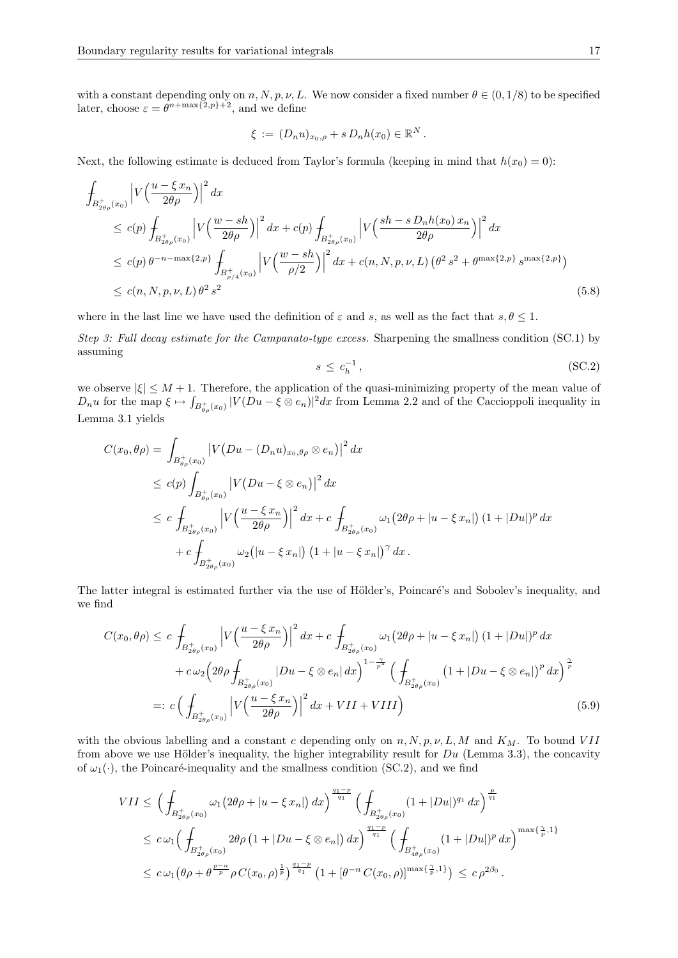with a constant depending only on n, N, p, v, L. We now consider a fixed number  $\theta \in (0, 1/8)$  to be specified later, choose  $\varepsilon = \theta^{n+\max\{2,p\}+2}$ , and we define

$$
\xi := (D_n u)_{x_0,\rho} + s D_n h(x_0) \in \mathbb{R}^N.
$$

Next, the following estimate is deduced from Taylor's formula (keeping in mind that  $h(x_0) = 0$ ):

$$
\int_{B_{2\theta\rho}^{+}(x_{0})} \left| V\left(\frac{u-\xi x_{n}}{2\theta\rho}\right) \right|^{2} dx
$$
\n
$$
\leq c(p) \int_{B_{2\theta\rho}^{+}(x_{0})} \left| V\left(\frac{w-sh}{2\theta\rho}\right) \right|^{2} dx + c(p) \int_{B_{2\theta\rho}^{+}(x_{0})} \left| V\left(\frac{sh-sD_{n}h(x_{0})x_{n}}{2\theta\rho}\right) \right|^{2} dx
$$
\n
$$
\leq c(p) \theta^{-n-\max\{2,p\}} \int_{B_{\rho/4}^{+}(x_{0})} \left| V\left(\frac{w-sh}{\rho/2}\right) \right|^{2} dx + c(n, N, p, \nu, L) \left(\theta^{2} s^{2} + \theta^{\max\{2,p\}} s^{\max\{2,p\}}\right)
$$
\n
$$
\leq c(n, N, p, \nu, L) \theta^{2} s^{2}
$$
\n(5.8)

where in the last line we have used the definition of  $\varepsilon$  and s, as well as the fact that  $s, \theta \leq 1$ .

Step 3: Full decay estimate for the Campanato-type excess. Sharpening the smallness condition (SC.1) by assuming

$$
s \le c_h^{-1},\tag{SC.2}
$$

we observe  $|\xi| \leq M + 1$ . Therefore, the application of the quasi-minimizing property of the mean value of  $D_n u$  for the map  $\xi \mapsto \int_{B_{\theta_\rho}^+(x_0)} |V(Du - \xi \otimes e_n)|^2 dx$  from Lemma 2.2 and of the Caccioppoli inequality in Lemma 3.1 yields

$$
C(x_0, \theta \rho) = \int_{B_{\theta \rho}^+(x_0)} \left| V(Du - (D_n u)_{x_0, \theta \rho} \otimes e_n) \right|^2 dx
$$
  
\n
$$
\leq c(p) \int_{B_{\theta \rho}^+(x_0)} \left| V(Du - \xi \otimes e_n) \right|^2 dx
$$
  
\n
$$
\leq c \int_{B_{2\theta \rho}^+(x_0)} \left| V\left(\frac{u - \xi x_n}{2\theta \rho}\right) \right|^2 dx + c \int_{B_{2\theta \rho}^+(x_0)} \omega_1 (2\theta \rho + |u - \xi x_n|) (1 + |Du|)^p dx
$$
  
\n
$$
+ c \int_{B_{2\theta \rho}^+(x_0)} \omega_2 (|u - \xi x_n|) (1 + |u - \xi x_n|)^{\gamma} dx.
$$

The latter integral is estimated further via the use of Hölder's, Poincaré's and Sobolev's inequality, and we find

$$
C(x_0, \theta \rho) \le c \int_{B_{2\theta \rho}^+(x_0)} \left| V\left(\frac{u - \xi x_n}{2\theta \rho} \right) \right|^2 dx + c \int_{B_{2\theta \rho}^+(x_0)} \omega_1(2\theta \rho + |u - \xi x_n|) (1 + |Du|)^p dx + c \omega_2 \left( 2\theta \rho \int_{B_{2\theta \rho}^+(x_0)} |Du - \xi \otimes e_n| dx \right)^{1 - \frac{\gamma}{p^*}} \left( \int_{B_{2\theta \rho}^+(x_0)} \left( 1 + |Du - \xi \otimes e_n| \right)^p dx \right)^{\frac{\gamma}{p}} =: c \left( \int_{B_{2\theta \rho}^+(x_0)} \left| V\left(\frac{u - \xi x_n}{2\theta \rho} \right) \right|^2 dx + VIII + VIII \right)
$$
(5.9)

with the obvious labelling and a constant c depending only on  $n, N, p, \nu, L, M$  and  $K_M$ . To bound VII from above we use Hölder's inequality, the higher integrability result for  $Du$  (Lemma 3.3), the concavity of  $\omega_1(\cdot)$ , the Poincaré-inequality and the smallness condition (SC.2), and we find

$$
VII \leq \left(\int_{B_{2\theta\rho}^{+}(x_{0})} \omega_{1}(2\theta\rho + |u-\xi x_{n}|) dx\right)^{\frac{q_{1}-p}{q_{1}}} \left(\int_{B_{2\theta\rho}^{+}(x_{0})} (1+|Du|)^{q_{1}} dx\right)^{\frac{p}{q_{1}}} \leq c \omega_{1} \left(\int_{B_{2\theta\rho}^{+}(x_{0})} 2\theta\rho \left(1+|Du-\xi\otimes e_{n}|\right) dx\right)^{\frac{q_{1}-p}{q_{1}}} \left(\int_{B_{4\theta\rho}^{+}(x_{0})} (1+|Du|)^{p} dx\right)^{\max\{\frac{\gamma}{p},1\}} \leq c \omega_{1} \left(\theta\rho + \theta^{\frac{p-n}{p}} \rho C(x_{0},\rho)^{\frac{1}{p}}\right)^{\frac{q_{1}-p}{q_{1}}} \left(1+[\theta^{-n} C(x_{0},\rho)]^{\max\{\frac{\gamma}{p},1\}}\right) \leq c \rho^{2\beta_{0}}.
$$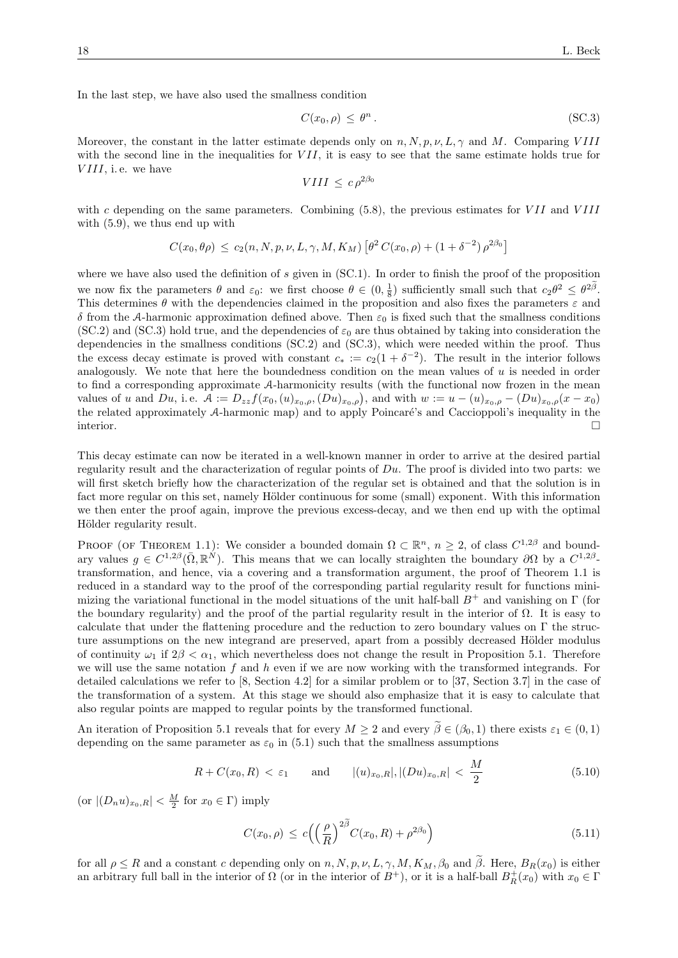In the last step, we have also used the smallness condition

$$
C(x_0, \rho) \le \theta^n. \tag{SC.3}
$$

Moreover, the constant in the latter estimate depends only on  $n, N, p, \nu, L, \gamma$  and M. Comparing VIII with the second line in the inequalities for  $VII$ , it is easy to see that the same estimate holds true for  $VIII$ , i.e. we have

$$
VIII \leq c \rho^{2\beta_0}
$$

with c depending on the same parameters. Combining  $(5.8)$ , the previous estimates for VII and VIII with (5.9), we thus end up with

$$
C(x_0, \theta \rho) \le c_2(n, N, p, \nu, L, \gamma, M, K_M) \left[ \theta^2 C(x_0, \rho) + (1 + \delta^{-2}) \rho^{2\beta_0} \right]
$$

where we have also used the definition of s given in  $(SC.1)$ . In order to finish the proof of the proposition we now fix the parameters  $\theta$  and  $\varepsilon_0$ : we first choose  $\theta \in (0, \frac{1}{8})$  sufficiently small such that  $c_2\theta^2 \leq \theta^{2\beta}$ . This determines  $\theta$  with the dependencies claimed in the proposition and also fixes the parameters  $\varepsilon$  and δ from the A-harmonic approximation defined above. Then  $ε_0$  is fixed such that the smallness conditions (SC.2) and (SC.3) hold true, and the dependencies of  $\varepsilon_0$  are thus obtained by taking into consideration the dependencies in the smallness conditions (SC.2) and (SC.3), which were needed within the proof. Thus the excess decay estimate is proved with constant  $c_* := c_2(1 + \delta^{-2})$ . The result in the interior follows analogously. We note that here the boundedness condition on the mean values of  $u$  is needed in order to find a corresponding approximate A-harmonicity results (with the functional now frozen in the mean values of u and  $Du$ , i.e.  $\mathcal{A} := D_{zz} f(x_0, (u)_{x_0, \rho}, (Du)_{x_0, \rho})$ , and with  $w := u - (u)_{x_0, \rho} - (Du)_{x_0, \rho}(x - x_0)$ the related approximately A-harmonic map) and to apply Poincaré's and Caccioppoli's inequality in the interior.

This decay estimate can now be iterated in a well-known manner in order to arrive at the desired partial regularity result and the characterization of regular points of  $Du$ . The proof is divided into two parts: we will first sketch briefly how the characterization of the regular set is obtained and that the solution is in fact more regular on this set, namely Hölder continuous for some (small) exponent. With this information we then enter the proof again, improve the previous excess-decay, and we then end up with the optimal Hölder regularity result.

PROOF (OF THEOREM 1.1): We consider a bounded domain  $\Omega \subset \mathbb{R}^n$ ,  $n \geq 2$ , of class  $C^{1,2\beta}$  and boundary values  $g \in C^{1,2\beta}(\bar{\Omega},\mathbb{R}^N)$ . This means that we can locally straighten the boundary  $\partial\Omega$  by a  $C^{1,2\beta}$ transformation, and hence, via a covering and a transformation argument, the proof of Theorem 1.1 is reduced in a standard way to the proof of the corresponding partial regularity result for functions minimizing the variational functional in the model situations of the unit half-ball  $B^+$  and vanishing on Γ (for the boundary regularity) and the proof of the partial regularity result in the interior of  $\Omega$ . It is easy to calculate that under the flattening procedure and the reduction to zero boundary values on Γ the structure assumptions on the new integrand are preserved, apart from a possibly decreased Hölder modulus of continuity  $\omega_1$  if  $2\beta < \alpha_1$ , which nevertheless does not change the result in Proposition 5.1. Therefore we will use the same notation f and h even if we are now working with the transformed integrands. For detailed calculations we refer to [8, Section 4.2] for a similar problem or to [37, Section 3.7] in the case of the transformation of a system. At this stage we should also emphasize that it is easy to calculate that also regular points are mapped to regular points by the transformed functional.

An iteration of Proposition 5.1 reveals that for every  $M \geq 2$  and every  $\tilde{\beta} \in (\beta_0, 1)$  there exists  $\varepsilon_1 \in (0, 1)$ depending on the same parameter as  $\varepsilon_0$  in (5.1) such that the smallness assumptions

$$
R + C(x_0, R) < \varepsilon_1
$$
 and  $|(u)_{x_0, R}|, |(Du)_{x_0, R}| < \frac{M}{2}$  (5.10)

(or  $|(D_n u)_{x_0,R}| < \frac{M}{2}$  for  $x_0 \in \Gamma$ ) imply

$$
C(x_0, \rho) \le c \left( \left( \frac{\rho}{R} \right)^{2\beta} C(x_0, R) + \rho^{2\beta_0} \right)
$$
\n(5.11)

for all  $\rho \leq R$  and a constant c depending only on  $n, N, p, \nu, L, \gamma, M, K_M, \beta_0$  and  $\tilde{\beta}$ . Here,  $B_R(x_0)$  is either an arbitrary full ball in the interior of  $\Omega$  (or in the interior of  $B^+$ ), or it is a half-ball  $B_R^+(x_0)$  with  $x_0 \in \Gamma$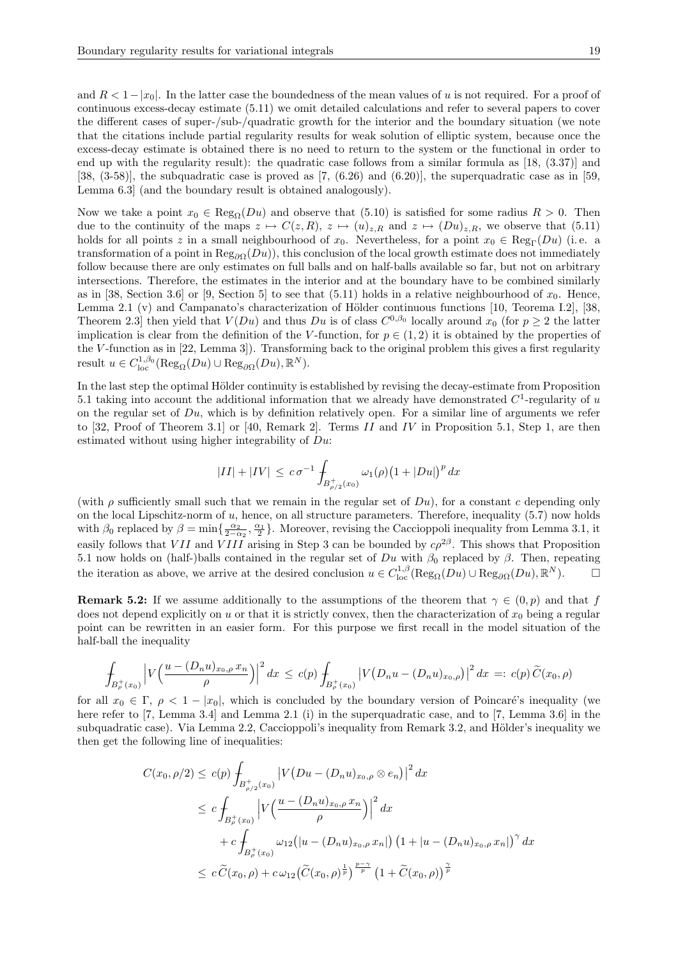and  $R < 1-|x_0|$ . In the latter case the boundedness of the mean values of u is not required. For a proof of continuous excess-decay estimate (5.11) we omit detailed calculations and refer to several papers to cover the different cases of super-/sub-/quadratic growth for the interior and the boundary situation (we note that the citations include partial regularity results for weak solution of elliptic system, because once the excess-decay estimate is obtained there is no need to return to the system or the functional in order to end up with the regularity result): the quadratic case follows from a similar formula as [18, (3.37)] and [38,  $(3-58)$ ], the subquadratic case is proved as [7,  $(6.26)$  and  $(6.20)$ ], the superquadratic case as in [59, Lemma 6.3] (and the boundary result is obtained analogously).

Now we take a point  $x_0 \in \text{Reg}_0(Du)$  and observe that (5.10) is satisfied for some radius  $R > 0$ . Then due to the continuity of the maps  $z \mapsto C(z, R)$ ,  $z \mapsto (u)_{z, R}$  and  $z \mapsto (Du)_{z, R}$ , we observe that (5.11) holds for all points z in a small neighbourhood of  $x_0$ . Nevertheless, for a point  $x_0 \in \text{Reg}_{\Gamma}(Du)$  (i.e. a transformation of a point in  $\text{Reg}_{\partial\Omega}(Du)$ , this conclusion of the local growth estimate does not immediately follow because there are only estimates on full balls and on half-balls available so far, but not on arbitrary intersections. Therefore, the estimates in the interior and at the boundary have to be combined similarly as in [38, Section 3.6] or [9, Section 5] to see that (5.11) holds in a relative neighbourhood of  $x_0$ . Hence, Lemma 2.1 (v) and Campanato's characterization of Hölder continuous functions [10, Teorema I.2], [38, Theorem 2.3 then yield that  $V(Du)$  and thus  $Du$  is of class  $C^{0,\beta_0}$  locally around  $x_0$  (for  $p \geq 2$  the latter implication is clear from the definition of the V-function, for  $p \in (1, 2)$  it is obtained by the properties of the V-function as in [22, Lemma 3]). Transforming back to the original problem this gives a first regularity result  $u \in C^{1,\beta_0}_{loc}(\text{Reg}_{\Omega}(Du) \cup \text{Reg}_{\partial\Omega}(Du), \mathbb{R}^N)$ .

In the last step the optimal Hölder continuity is established by revising the decay-estimate from Proposition 5.1 taking into account the additional information that we already have demonstrated  $C^1$ -regularity of u on the regular set of  $Du$ , which is by definition relatively open. For a similar line of arguments we refer to [32, Proof of Theorem 3.1] or [40, Remark 2]. Terms II and IV in Proposition 5.1, Step 1, are then estimated without using higher integrability of  $Du$ :

$$
|II| + |IV| \le c \sigma^{-1} \int_{B_{\rho/2}^+(x_0)} \omega_1(\rho) (1 + |Du|)^p dx
$$

(with  $\rho$  sufficiently small such that we remain in the regular set of  $Du$ ), for a constant c depending only on the local Lipschitz-norm of  $u$ , hence, on all structure parameters. Therefore, inequality  $(5.7)$  now holds with  $\beta_0$  replaced by  $\beta = \min\{\frac{\alpha_2}{2-\alpha_2}, \frac{\alpha_1}{2}\}\.$  Moreover, revising the Caccioppoli inequality from Lemma 3.1, it easily follows that VII and VIII arising in Step 3 can be bounded by  $c\rho^{2\beta}$ . This shows that Proposition 5.1 now holds on (half-)balls contained in the regular set of  $Du$  with  $\beta_0$  replaced by  $\beta$ . Then, repeating the iteration as above, we arrive at the desired conclusion  $u \in C^{1,\beta}_{loc}(\text{Reg}_{\Omega}(Du) \cup \text{Reg}_{\partial\Omega}(Du), \mathbb{R}^N)$ .

**Remark 5.2:** If we assume additionally to the assumptions of the theorem that  $\gamma \in (0, p)$  and that f does not depend explicitly on u or that it is strictly convex, then the characterization of  $x_0$  being a regular point can be rewritten in an easier form. For this purpose we first recall in the model situation of the half-ball the inequality

$$
\int_{B_{\rho}^+(x_0)} \left| V\Big(\frac{u - (D_n u)_{x_0, \rho} x_n}{\rho}\Big) \right|^2 dx \le c(p) \int_{B_{\rho}^+(x_0)} \left| V\big(D_n u - (D_n u)_{x_0, \rho}\big) \right|^2 dx =: c(p) \widetilde{C}(x_0, \rho)
$$

for all  $x_0 \in \Gamma$ ,  $\rho < 1 - |x_0|$ , which is concluded by the boundary version of Poincaré's inequality (we here refer to [7, Lemma 3.4] and Lemma 2.1 (i) in the superquadratic case, and to [7, Lemma 3.6] in the subquadratic case). Via Lemma 2.2, Caccioppoli's inequality from Remark 3.2, and Hölder's inequality we then get the following line of inequalities:

$$
C(x_0, \rho/2) \le c(p) \int_{B_{\rho/2}^+(x_0)} \left| V\left(Du - (D_n u)_{x_0, \rho} \otimes e_n \right) \right|^2 dx
$$
  
\n
$$
\le c \int_{B_{\rho}^+(x_0)} \left| V\left(\frac{u - (D_n u)_{x_0, \rho} x_n}{\rho} \right) \right|^2 dx
$$
  
\n
$$
+ c \int_{B_{\rho}^+(x_0)} \omega_{12}(|u - (D_n u)_{x_0, \rho} x_n|) \left(1 + |u - (D_n u)_{x_0, \rho} x_n| \right)^\gamma dx
$$
  
\n
$$
\le c \widetilde{C}(x_0, \rho) + c \omega_{12} (\widetilde{C}(x_0, \rho)^{\frac{1}{p}})^{\frac{p - \gamma}{p}} \left(1 + \widetilde{C}(x_0, \rho) \right)^{\frac{\gamma}{p}}
$$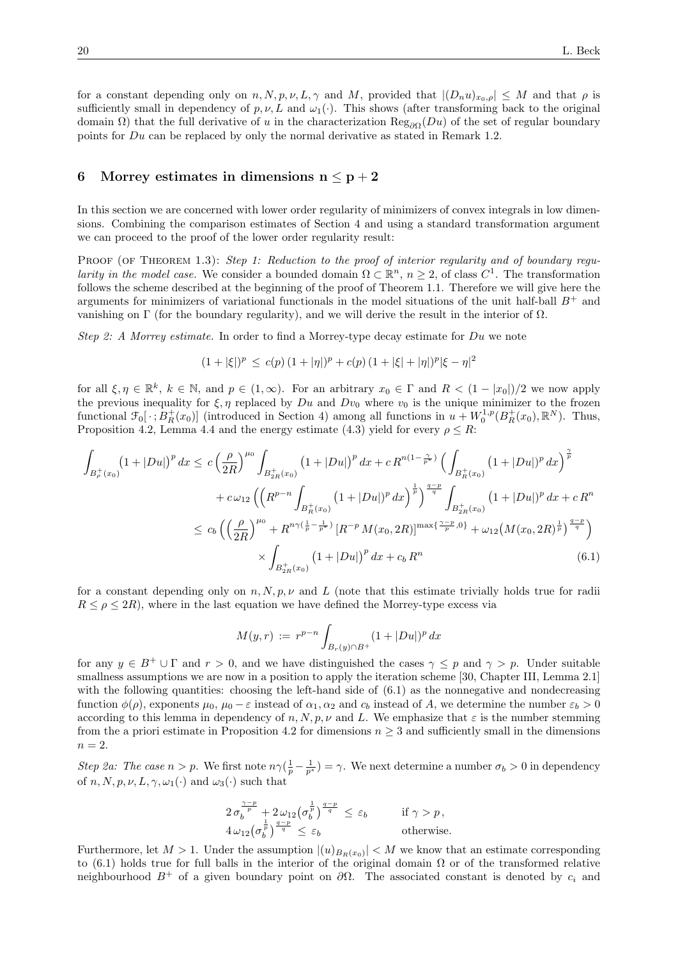for a constant depending only on  $n, N, p, \nu, L, \gamma$  and M, provided that  $|(D_n u)_{x_0,\rho}| \leq M$  and that  $\rho$  is sufficiently small in dependency of  $p, \nu, L$  and  $\omega_1(\cdot)$ . This shows (after transforming back to the original domain Ω) that the full derivative of u in the characterization  $\text{Reg}_{\partial\Omega}(Du)$  of the set of regular boundary points for Du can be replaced by only the normal derivative as stated in Remark 1.2.

### 6 Morrey estimates in dimensions  $n \leq p+2$

In this section we are concerned with lower order regularity of minimizers of convex integrals in low dimensions. Combining the comparison estimates of Section 4 and using a standard transformation argument we can proceed to the proof of the lower order regularity result:

PROOF (OF THEOREM 1.3): Step 1: Reduction to the proof of interior regularity and of boundary regularity in the model case. We consider a bounded domain  $\Omega \subset \mathbb{R}^n$ ,  $n \geq 2$ , of class  $C^1$ . The transformation follows the scheme described at the beginning of the proof of Theorem 1.1. Therefore we will give here the arguments for minimizers of variational functionals in the model situations of the unit half-ball  $B^+$  and vanishing on Γ (for the boundary regularity), and we will derive the result in the interior of Ω.

Step 2: A Morrey estimate. In order to find a Morrey-type decay estimate for Du we note

$$
(1+|\xi|)^p \le c(p) (1+|\eta|)^p + c(p) (1+|\xi|+|\eta|)^p |\xi - \eta|^2
$$

for all  $\xi, \eta \in \mathbb{R}^k$ ,  $k \in \mathbb{N}$ , and  $p \in (1,\infty)$ . For an arbitrary  $x_0 \in \Gamma$  and  $R < (1 - |x_0|)/2$  we now apply the previous inequality for  $\xi, \eta$  replaced by  $Du$  and  $Dv_0$  where  $v_0$  is the unique minimizer to the frozen functional  $\mathcal{F}_0[\cdot; B_R^+(x_0)]$  (introduced in Section 4) among all functions in  $u+W_0^{1,p}(B_R^+(x_0), \mathbb{R}^N)$ . Thus, Proposition 4.2, Lemma 4.4 and the energy estimate (4.3) yield for every  $\rho \leq R$ :

$$
\int_{B_{\rho}^{+}(x_{0})} (1+|Du|)^{p} dx \leq c \left(\frac{\rho}{2R}\right)^{\mu_{0}} \int_{B_{2R}^{+}(x_{0})} (1+|Du|)^{p} dx + c R^{n(1-\frac{\gamma}{p^{*}})} \left(\int_{B_{R}^{+}(x_{0})} (1+|Du|)^{p} dx\right)^{\frac{\gamma}{p}}
$$
\n
$$
+ c \omega_{12} \left(\left(R^{p-n} \int_{B_{R}^{+}(x_{0})} (1+|Du|)^{p} dx\right)^{\frac{1}{p}}\right)^{\frac{q-p}{q}} \int_{B_{2R}^{+}(x_{0})} (1+|Du|)^{p} dx + c R^{n}
$$
\n
$$
\leq c_{b} \left(\left(\frac{\rho}{2R}\right)^{\mu_{0}} + R^{n\gamma(\frac{1}{p}-\frac{1}{p^{*}})} \left[R^{-p} M(x_{0}, 2R)\right]^{\max\{\frac{\gamma-p}{p}, 0\}} + \omega_{12} \left(M(x_{0}, 2R)^{\frac{1}{p}}\right)^{\frac{q-p}{q}}\right)
$$
\n
$$
\times \int_{B_{2R}^{+}(x_{0})} (1+|Du|)^{p} dx + c_{b} R^{n}
$$
\n(6.1)

for a constant depending only on  $n, N, p, \nu$  and L (note that this estimate trivially holds true for radii)  $R \leq \rho \leq 2R$ , where in the last equation we have defined the Morrey-type excess via

$$
M(y,r) := r^{p-n} \int_{B_r(y) \cap B^+} (1 + |Du|)^p dx
$$

for any  $y \in B^+ \cup \Gamma$  and  $r > 0$ , and we have distinguished the cases  $\gamma \leq p$  and  $\gamma > p$ . Under suitable smallness assumptions we are now in a position to apply the iteration scheme [30, Chapter III, Lemma 2.1] with the following quantities: choosing the left-hand side of  $(6.1)$  as the nonnegative and nondecreasing function  $\phi(\rho)$ , exponents  $\mu_0$ ,  $\mu_0 - \varepsilon$  instead of  $\alpha_1, \alpha_2$  and  $c_b$  instead of A, we determine the number  $\varepsilon_b > 0$ according to this lemma in dependency of n, N, p,  $\nu$  and L. We emphasize that  $\varepsilon$  is the number stemming from the a priori estimate in Proposition 4.2 for dimensions  $n \geq 3$  and sufficiently small in the dimensions  $n = 2$ .

Step 2a: The case  $n > p$ . We first note  $n\gamma(\frac{1}{p} - \frac{1}{p^*}) = \gamma$ . We next determine a number  $\sigma_b > 0$  in dependency of  $n, N, p, \nu, L, \gamma, \omega_1(\cdot)$  and  $\omega_3(\cdot)$  such that

$$
\begin{array}{ll}\n2\,\sigma_b^{\frac{\gamma-p}{p}}+2\,\omega_{12}\left(\sigma_b^{\frac{1}{p}}\right)^{\frac{q-p}{q}} & \leq \varepsilon_b & \qquad \text{if } \gamma>p\,,\\
4\,\omega_{12}\left(\sigma_b^{\frac{1}{p}}\right)^{\frac{q-p}{q}} & \leq \varepsilon_b & \qquad \text{otherwise}.\n\end{array}
$$

Furthermore, let  $M > 1$ . Under the assumption  $|(u)_{B_R(x_0)}| < M$  we know that an estimate corresponding to (6.1) holds true for full balls in the interior of the original domain  $\Omega$  or of the transformed relative neighbourhood  $B^+$  of a given boundary point on  $\partial\Omega$ . The associated constant is denoted by  $c_i$  and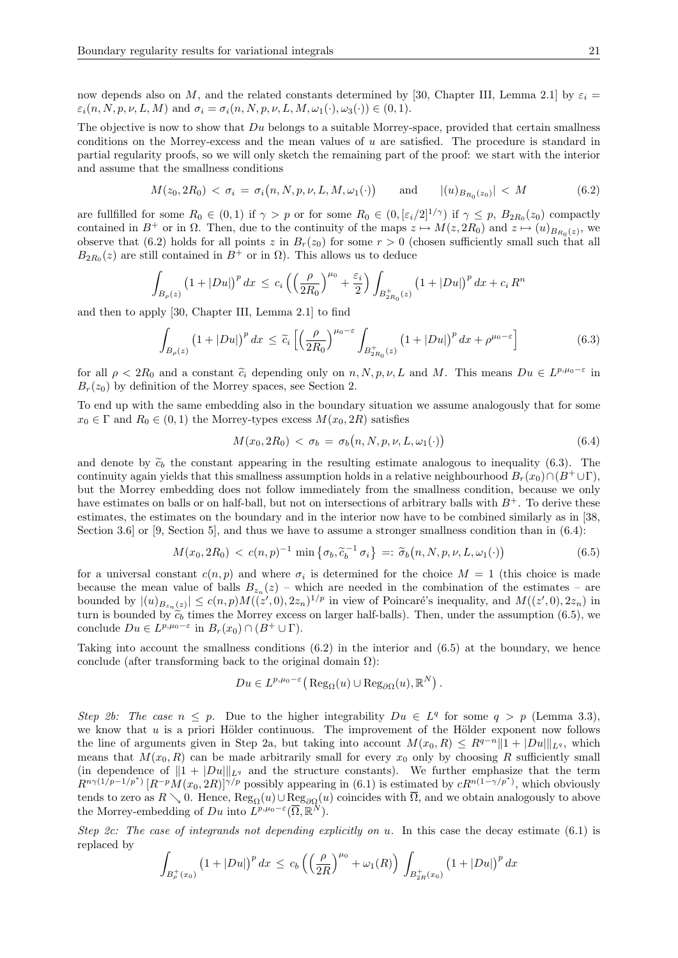now depends also on M, and the related constants determined by [30, Chapter III, Lemma 2.1] by  $\varepsilon_i =$  $\varepsilon_i(n, N, p, \nu, L, M)$  and  $\sigma_i = \sigma_i(n, N, p, \nu, L, M, \omega_1(\cdot), \omega_3(\cdot)) \in (0, 1)$ .

The objective is now to show that  $Du$  belongs to a suitable Morrey-space, provided that certain smallness conditions on the Morrey-excess and the mean values of  $u$  are satisfied. The procedure is standard in partial regularity proofs, so we will only sketch the remaining part of the proof: we start with the interior and assume that the smallness conditions

$$
M(z_0, 2R_0) < \sigma_i = \sigma_i(n, N, p, \nu, L, M, \omega_1(\cdot)) \quad \text{and} \quad |(u)_{B_{R_0}(z_0)}| < M \tag{6.2}
$$

are fullfilled for some  $R_0 \in (0,1)$  if  $\gamma > p$  or for some  $R_0 \in (0, \lbrack \varepsilon_i/2 \rbrack^{1/\gamma})$  if  $\gamma \leq p$ ,  $B_{2R_0}(z_0)$  compactly contained in  $B^+$  or in  $\Omega$ . Then, due to the continuity of the maps  $z \mapsto M(z, 2R_0)$  and  $z \mapsto (u)_{B_{R_0}(z)}$ , we observe that (6.2) holds for all points z in  $B_r(z_0)$  for some  $r > 0$  (chosen sufficiently small such that all  $B_{2R_0}(z)$  are still contained in  $B^+$  or in  $\Omega$ ). This allows us to deduce

$$
\int_{B_{\rho}(z)} (1+|Du|)^p dx \le c_i \left( \left( \frac{\rho}{2R_0} \right)^{\mu_0} + \frac{\varepsilon_i}{2} \right) \int_{B_{2R_0}^+(z)} (1+|Du|)^p dx + c_i R^n
$$

and then to apply [30, Chapter III, Lemma 2.1] to find

$$
\int_{B_{\rho}(z)} \left(1+|Du|\right)^p dx \leq \widetilde{c}_i \left[ \left(\frac{\rho}{2R_0}\right)^{\mu_0-\varepsilon} \int_{B_{2R_0}^+(z)} \left(1+|Du|\right)^p dx + \rho^{\mu_0-\varepsilon} \right] \tag{6.3}
$$

for all  $\rho < 2R_0$  and a constant  $\tilde{c}_i$  depending only on  $n, N, p, \nu, L$  and M. This means  $Du \in L^{p,\mu_0-\varepsilon}$  in  $B_r(x_0)$  by definition of the Morroy spaces, see Section 2.  $B_r(z_0)$  by definition of the Morrey spaces, see Section 2.

To end up with the same embedding also in the boundary situation we assume analogously that for some  $x_0 \in \Gamma$  and  $R_0 \in (0,1)$  the Morrey-types excess  $M(x_0, 2R)$  satisfies

$$
M(x_0, 2R_0) < \sigma_b = \sigma_b(n, N, p, \nu, L, \omega_1(\cdot)) \tag{6.4}
$$

and denote by  $\tilde{c}_b$  the constant appearing in the resulting estimate analogous to inequality (6.3). The continuity again yields that this smallness assumption holds in a relative neighbourhood  $B_r(x_0) \cap (B^+ \cup \Gamma)$ , but the Morrey embedding does not follow immediately from the smallness condition, because we only have estimates on balls or on half-ball, but not on intersections of arbitrary balls with  $B^+$ . To derive these estimates, the estimates on the boundary and in the interior now have to be combined similarly as in [38, Section 3.6] or [9, Section 5], and thus we have to assume a stronger smallness condition than in (6.4):

$$
M(x_0, 2R_0) < c(n, p)^{-1} \min \left\{ \sigma_b, \tilde{c}_b^{-1} \sigma_i \right\} =: \tilde{\sigma}_b(n, N, p, \nu, L, \omega_1(\cdot)) \tag{6.5}
$$

for a universal constant  $c(n, p)$  and where  $\sigma_i$  is determined for the choice  $M = 1$  (this choice is made because the mean value of balls  $B_{z_n}(z)$  – which are needed in the combination of the estimates – are bounded by  $|(u)_{B_{z_n}(z)}| \le c(n,p)M((z',0),2z_n)^{1/p}$  in view of Poincaré's inequality, and  $M((z',0),2z_n)$  in turn is bounded by  $\tilde{c}_b$  times the Morrey excess on larger half-balls). Then, under the assumption (6.5), we conclude  $Du \in L^{p,\mu_0-\varepsilon}$  in  $B_r(x_0) \cap (B^+ \cup \Gamma)$ .

Taking into account the smallness conditions (6.2) in the interior and (6.5) at the boundary, we hence conclude (after transforming back to the original domain  $\Omega$ ):

$$
Du \in L^{p,\mu_0-\varepsilon}(\operatorname{Reg}_{\Omega}(u) \cup \operatorname{Reg}_{\partial\Omega}(u),\mathbb{R}^N).
$$

Step 2b: The case  $n \leq p$ . Due to the higher integrability  $Du \in L^q$  for some  $q > p$  (Lemma 3.3), we know that  $u$  is a priori Hölder continuous. The improvement of the Hölder exponent now follows the line of arguments given in Step 2a, but taking into account  $M(x_0, R) \leq R^{q-n} \|1 + |Du||_{L^q}$ , which means that  $M(x_0, R)$  can be made arbitrarily small for every  $x_0$  only by choosing R sufficiently small (in dependence of  $||1 + |Du||_{L^q}$  and the structure constants). We further emphasize that the term  $R^{n\gamma(1/p-1/p^*)} [R^{-p}M(x_0, 2R)]^{\gamma/p}$  possibly appearing in (6.1) is estimated by  $cR^{n(1-\gamma/p^*)}$ , which obviously tends to zero as  $R \setminus 0$ . Hence,  $\text{Reg}_{\Omega}(u) \cup \text{Reg}_{\partial\Omega}(u)$  coincides with  $\overline{\Omega}$ , and we obtain analogously to above the Morrey-embedding of Du into  $L^{p,\mu_0-\varepsilon}(\overline{\Omega},\mathbb{R}^N)$ .

Step 2c: The case of integrands not depending explicitly on u. In this case the decay estimate  $(6.1)$  is replaced by

$$
\int_{B_{\rho}^+(x_0)} (1+|Du|)^p dx \le c_b \left( \left( \frac{\rho}{2R} \right)^{\mu_0} + \omega_1(R) \right) \int_{B_{2R}^+(x_0)} (1+|Du|)^p dx
$$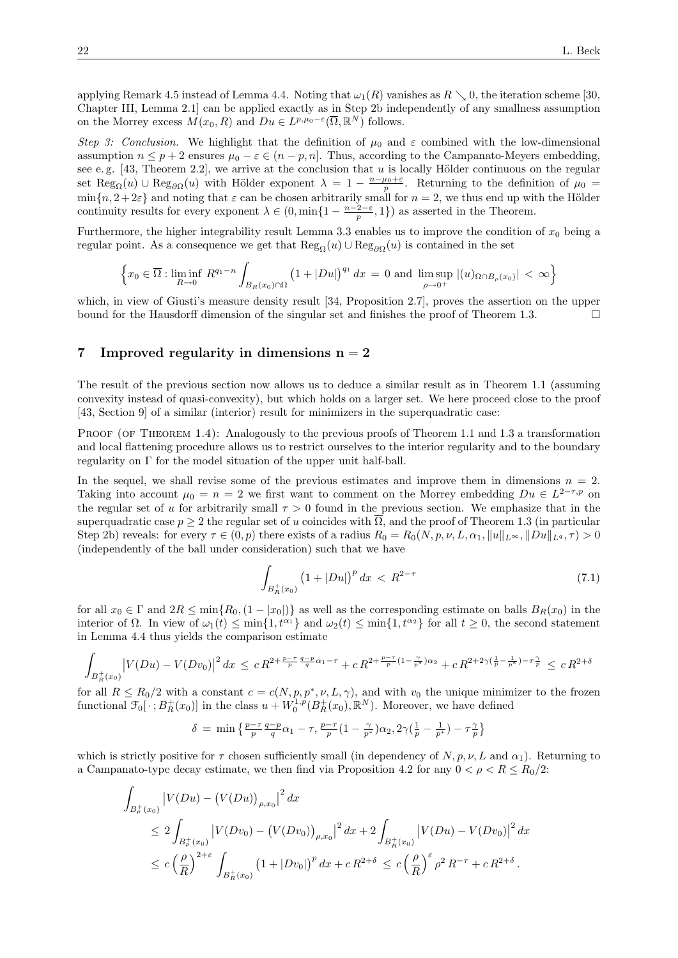applying Remark 4.5 instead of Lemma 4.4. Noting that  $\omega_1(R)$  vanishes as  $R \setminus 0$ , the iteration scheme [30, Chapter III, Lemma 2.1] can be applied exactly as in Step 2b independently of any smallness assumption on the Morrey excess  $M(x_0, R)$  and  $Du \in L^{p,\mu_0-\varepsilon}(\overline{\Omega}, \mathbb{R}^N)$  follows.

Step 3: Conclusion. We highlight that the definition of  $\mu_0$  and  $\varepsilon$  combined with the low-dimensional assumption  $n \leq p+2$  ensures  $\mu_0 - \varepsilon \in (n-p, n]$ . Thus, according to the Campanato-Meyers embedding, see e.g. [43, Theorem 2.2], we arrive at the conclusion that u is locally Hölder continuous on the regular set Reg<sub> $\Omega$ </sub> $(u)$   $\cup$  Reg<sub> $\partial\Omega$ </sub> $(u)$  with Hölder exponent  $\lambda = 1 - \frac{n-\mu_0+\varepsilon}{p}$ . Returning to the definition of  $\mu_0 =$  $\min\{n, 2+2\varepsilon\}$  and noting that  $\varepsilon$  can be chosen arbitrarily small for  $n=2$ , we thus end up with the Hölder continuity results for every exponent  $\lambda \in (0, \min\{1 - \frac{n-2-\varepsilon}{p}, 1\})$  as asserted in the Theorem.

Furthermore, the higher integrability result Lemma 3.3 enables us to improve the condition of  $x_0$  being a regular point. As a consequence we get that  $\text{Reg}_{\Omega}(u) \cup \text{Reg}_{\partial\Omega}(u)$  is contained in the set

$$
\left\{x_0 \in \overline{\Omega} : \liminf_{R \to 0} R^{q_1 - n} \int_{B_R(x_0) \cap \Omega} \left(1 + |Du|\right)^{q_1} dx = 0 \text{ and } \limsup_{\rho \to 0^+} |(u)_{\Omega \cap B_\rho(x_0)}| < \infty\right\}
$$

which, in view of Giusti's measure density result [34, Proposition 2.7], proves the assertion on the upper bound for the Hausdorff dimension of the singular set and finishes the proof of Theorem 1.3.

#### 7 Improved regularity in dimensions  $n = 2$

The result of the previous section now allows us to deduce a similar result as in Theorem 1.1 (assuming convexity instead of quasi-convexity), but which holds on a larger set. We here proceed close to the proof [43, Section 9] of a similar (interior) result for minimizers in the superquadratic case:

PROOF (OF THEOREM 1.4): Analogously to the previous proofs of Theorem 1.1 and 1.3 a transformation and local flattening procedure allows us to restrict ourselves to the interior regularity and to the boundary regularity on Γ for the model situation of the upper unit half-ball.

In the sequel, we shall revise some of the previous estimates and improve them in dimensions  $n = 2$ . Taking into account  $\mu_0 = n = 2$  we first want to comment on the Morrey embedding  $Du \in L^{2-\tau,p}$  on the regular set of u for arbitrarily small  $\tau > 0$  found in the previous section. We emphasize that in the superquadratic case  $p \geq 2$  the regular set of u coincides with  $\Omega$ , and the proof of Theorem 1.3 (in particular Step 2b) reveals: for every  $\tau \in (0, p)$  there exists of a radius  $R_0 = R_0(N, p, \nu, L, \alpha_1, \|u\|_{L^\infty}, \|Du\|_{L^q}, \tau) > 0$ (independently of the ball under consideration) such that we have

$$
\int_{B_R^+(x_0)} \left(1 + |Du|\right)^p dx < R^{2-\tau} \tag{7.1}
$$

for all  $x_0 \in \Gamma$  and  $2R \le \min\{R_0,(1-|x_0|)\}\)$  as well as the corresponding estimate on balls  $B_R(x_0)$  in the interior of  $\Omega$ . In view of  $\omega_1(t) \le \min\{1, t^{\alpha_1}\}\$  and  $\omega_2(t) \le \min\{1, t^{\alpha_2}\}\$  for all  $t \ge 0$ , the second statement in Lemma 4.4 thus yields the comparison estimate

$$
\int_{B_R^+(x_0)} \left| V(Du) - V(Dv_0) \right|^2 dx \le c R^{2 + \frac{p-\tau}{p} \frac{q-p}{q} \alpha_1 - \tau} + c R^{2 + \frac{p-\tau}{p} (1 - \frac{\gamma}{p^*}) \alpha_2} + c R^{2 + 2\gamma(\frac{1}{p} - \frac{1}{p^*}) - \tau \frac{\gamma}{p}} \le c R^{2 + \delta}
$$

for all  $R \le R_0/2$  with a constant  $c = c(N, p, p^*, \nu, L, \gamma)$ , and with  $v_0$  the unique minimizer to the frozen functional  $\mathcal{F}_0[\cdot; B_R^+(x_0)]$  in the class  $u + W_0^{1,p}(B_R^+(x_0), \mathbb{R}^N)$ . Moreover, we have defined

$$
\delta = \min \left\{ \frac{p-\tau}{p} \frac{q-p}{q} \alpha_1 - \tau, \frac{p-\tau}{p} \left( 1 - \frac{\gamma}{p^*} \right) \alpha_2, 2\gamma \left( \frac{1}{p} - \frac{1}{p^*} \right) - \tau \frac{\gamma}{p} \right\}
$$

which is strictly positive for  $\tau$  chosen sufficiently small (in dependency of N, p, v, L and  $\alpha_1$ ). Returning to a Campanato-type decay estimate, we then find via Proposition 4.2 for any  $0 < \rho < R < R_0/2$ :

$$
\int_{B_{\rho}^{+}(x_{0})} |V(Du) - (V(Du))_{\rho,x_{0}}|^{2} dx
$$
\n
$$
\leq 2 \int_{B_{\rho}^{+}(x_{0})} |V(Dv_{0}) - (V(Dv_{0}))_{\rho,x_{0}}|^{2} dx + 2 \int_{B_{R}^{+}(x_{0})} |V(Du) - V(Dv_{0})|^{2} dx
$$
\n
$$
\leq c \left(\frac{\rho}{R}\right)^{2+\epsilon} \int_{B_{R}^{+}(x_{0})} (1 + |Dv_{0}|)^{p} dx + c R^{2+\delta} \leq c \left(\frac{\rho}{R}\right)^{\epsilon} \rho^{2} R^{-\tau} + c R^{2+\delta}.
$$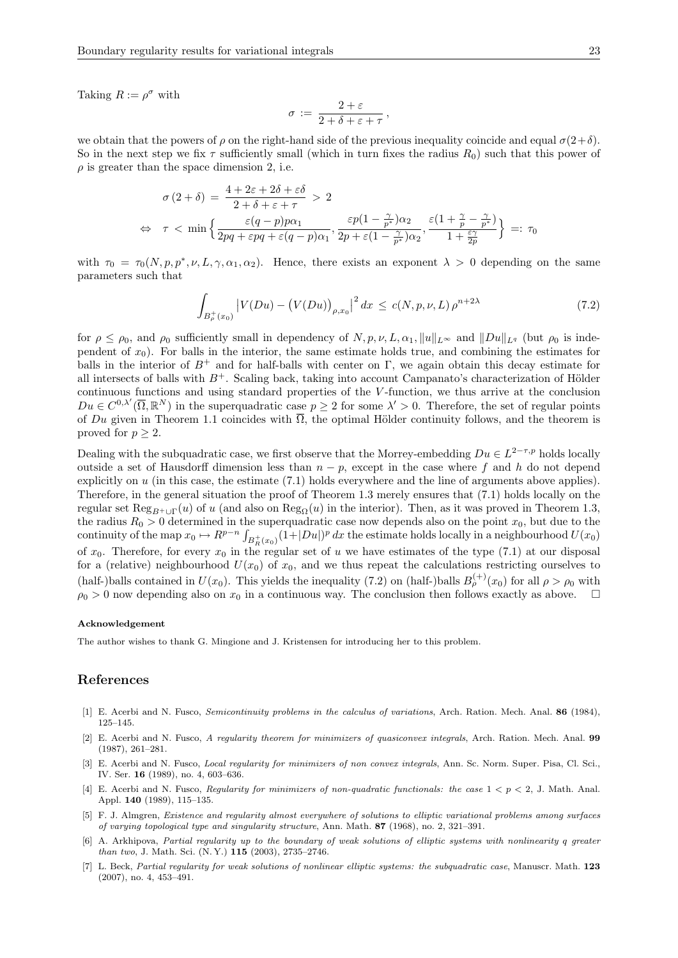Taking  $R := \rho^{\sigma}$  with

$$
\sigma := \frac{2+\varepsilon}{2+\delta+\varepsilon+\tau}\,,
$$

we obtain that the powers of  $\rho$  on the right-hand side of the previous inequality coincide and equal  $\sigma(2+\delta)$ . So in the next step we fix  $\tau$  sufficiently small (which in turn fixes the radius  $R_0$ ) such that this power of  $\rho$  is greater than the space dimension 2, i.e.

$$
\sigma (2 + \delta) = \frac{4 + 2\varepsilon + 2\delta + \varepsilon\delta}{2 + \delta + \varepsilon + \tau} > 2
$$
  
\n
$$
\Leftrightarrow \tau < \min \left\{ \frac{\varepsilon (q - p) p\alpha_1}{2pq + \varepsilon pq + \varepsilon (q - p)\alpha_1}, \frac{\varepsilon p(1 - \frac{\gamma}{p^*})\alpha_2}{2p + \varepsilon (1 - \frac{\gamma}{p^*})\alpha_2}, \frac{\varepsilon (1 + \frac{\gamma}{p} - \frac{\gamma}{p^*})}{1 + \frac{\varepsilon \gamma}{2p}} \right\} =: \tau_0
$$

with  $\tau_0 = \tau_0(N, p, p^*, \nu, L, \gamma, \alpha_1, \alpha_2)$ . Hence, there exists an exponent  $\lambda > 0$  depending on the same parameters such that

$$
\int_{B_{\rho}^{+}(x_{0})} |V(Du) - (V(Du))_{\rho,x_{0}}|^{2} dx \le c(N, p, \nu, L) \rho^{n+2\lambda}
$$
\n(7.2)

for  $\rho \le \rho_0$ , and  $\rho_0$  sufficiently small in dependency of  $N, p, \nu, L, \alpha_1, ||u||_{L^{\infty}}$  and  $||Du||_{L^q}$  (but  $\rho_0$  is independent of  $x_0$ ). For balls in the interior, the same estimate holds true, and combining the estimates for balls in the interior of  $B^+$  and for half-balls with center on Γ, we again obtain this decay estimate for all intersects of balls with  $B^+$ . Scaling back, taking into account Campanato's characterization of Hölder continuous functions and using standard properties of the V -function, we thus arrive at the conclusion  $Du \in C^{0,\lambda'}(\overline{\Omega},\mathbb{R}^N)$  in the superquadratic case  $p \geq 2$  for some  $\lambda' > 0$ . Therefore, the set of regular points of Du given in Theorem 1.1 coincides with  $\overline{\Omega}$ , the optimal Hölder continuity follows, and the theorem is proved for  $p \geq 2$ .

Dealing with the subquadratic case, we first observe that the Morrey-embedding  $Du \in L^{2-\tau,p}$  holds locally outside a set of Hausdorff dimension less than  $n - p$ , except in the case where f and h do not depend explicitly on u (in this case, the estimate (7.1) holds everywhere and the line of arguments above applies). Therefore, in the general situation the proof of Theorem 1.3 merely ensures that (7.1) holds locally on the regular set  $\text{Reg}_{B^+\cup\Gamma}(u)$  of u (and also on  $\text{Reg}_{\Omega}(u)$  in the interior). Then, as it was proved in Theorem 1.3, the radius  $R_0 > 0$  determined in the superquadratic case now depends also on the point  $x_0$ , but due to the continuity of the map  $x_0 \mapsto R^{p-n} \int_{B_R^+(x_0)} (1+|Du|)^p dx$  the estimate holds locally in a neighbourhood  $U(x_0)$ of  $x_0$ . Therefore, for every  $x_0$  in the regular set of u we have estimates of the type (7.1) at our disposal for a (relative) neighbourhood  $U(x_0)$  of  $x_0$ , and we thus repeat the calculations restricting ourselves to (half-)balls contained in  $U(x_0)$ . This yields the inequality (7.2) on (half-)balls  $B_{\rho}^{(+)}(x_0)$  for all  $\rho > \rho_0$  with  $\rho_0 > 0$  now depending also on  $x_0$  in a continuous way. The conclusion then follows exactly as above.

#### Acknowledgement

The author wishes to thank G. Mingione and J. Kristensen for introducing her to this problem.

# References

- [1] E. Acerbi and N. Fusco, Semicontinuity problems in the calculus of variations, Arch. Ration. Mech. Anal. 86 (1984), 125–145.
- [2] E. Acerbi and N. Fusco, A regularity theorem for minimizers of quasiconvex integrals, Arch. Ration. Mech. Anal. 99 (1987), 261–281.
- [3] E. Acerbi and N. Fusco, Local regularity for minimizers of non convex integrals, Ann. Sc. Norm. Super. Pisa, Cl. Sci., IV. Ser. 16 (1989), no. 4, 603–636.
- [4] E. Acerbi and N. Fusco, Regularity for minimizers of non-quadratic functionals: the case  $1 < p < 2$ , J. Math. Anal. Appl. 140 (1989), 115–135.
- [5] F. J. Almgren, Existence and regularity almost everywhere of solutions to elliptic variational problems among surfaces of varying topological type and singularity structure, Ann. Math. 87 (1968), no. 2, 321–391.
- [6] A. Arkhipova, Partial regularity up to the boundary of weak solutions of elliptic systems with nonlinearity a greater than two, J. Math. Sci. (N. Y.) 115 (2003), 2735–2746.
- [7] L. Beck, Partial regularity for weak solutions of nonlinear elliptic systems: the subquadratic case, Manuscr. Math. 123 (2007), no. 4, 453–491.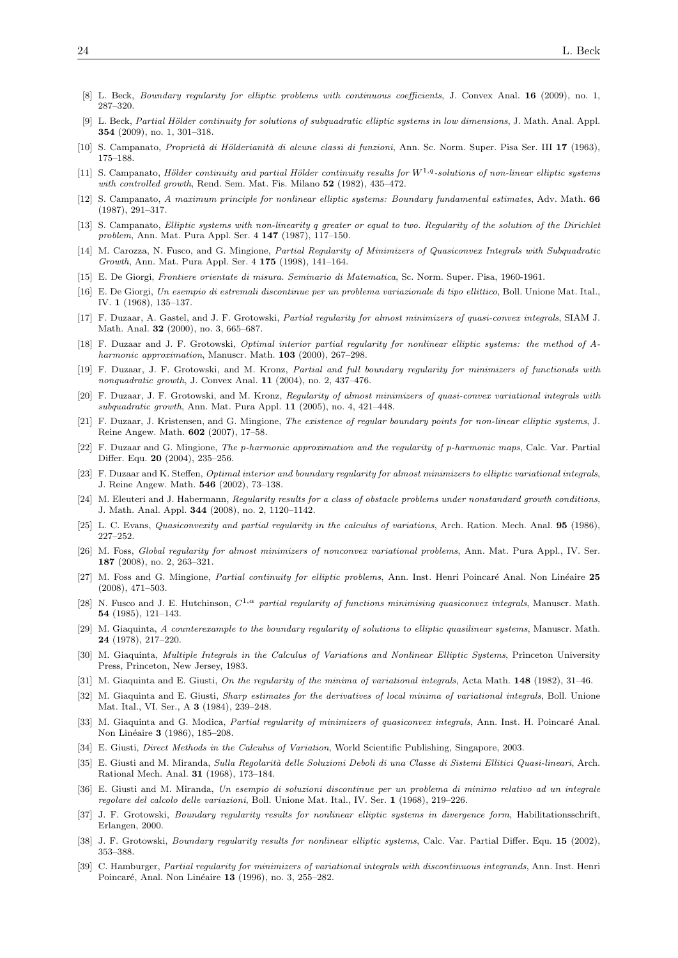- [8] L. Beck, Boundary regularity for elliptic problems with continuous coefficients, J. Convex Anal. 16 (2009), no. 1, 287–320.
- [9] L. Beck, Partial Hölder continuity for solutions of subquadratic elliptic systems in low dimensions, J. Math. Anal. Appl. 354 (2009), no. 1, 301–318.
- [10] S. Campanato, Proprietà di Hölderianità di alcune classi di funzioni, Ann. Sc. Norm. Super. Pisa Ser. III 17 (1963), 175–188.
- [11] S. Campanato, Hölder continuity and partial Hölder continuity results for  $W^{1,q}$ -solutions of non-linear elliptic systems with controlled growth, Rend. Sem. Mat. Fis. Milano 52 (1982), 435-472.
- [12] S. Campanato, A maximum principle for nonlinear elliptic systems: Boundary fundamental estimates, Adv. Math. 66 (1987), 291–317.
- [13] S. Campanato, Elliptic systems with non-linearity q greater or equal to two. Regularity of the solution of the Dirichlet problem, Ann. Mat. Pura Appl. Ser. 4 147 (1987), 117–150.
- [14] M. Carozza, N. Fusco, and G. Mingione, Partial Regularity of Minimizers of Quasiconvex Integrals with Subquadratic Growth, Ann. Mat. Pura Appl. Ser. 4 175 (1998), 141–164.
- [15] E. De Giorgi, Frontiere orientate di misura. Seminario di Matematica, Sc. Norm. Super. Pisa, 1960-1961.
- [16] E. De Giorgi, Un esempio di estremali discontinue per un problema variazionale di tipo ellittico, Boll. Unione Mat. Ital., IV. 1 (1968), 135–137.
- [17] F. Duzaar, A. Gastel, and J. F. Grotowski, Partial regularity for almost minimizers of quasi-convex integrals, SIAM J. Math. Anal. 32 (2000), no. 3, 665–687.
- [18] F. Duzaar and J. F. Grotowski, Optimal interior partial regularity for nonlinear elliptic systems: the method of Aharmonic approximation, Manuscr. Math. **103** (2000), 267–298.
- [19] F. Duzaar, J. F. Grotowski, and M. Kronz, Partial and full boundary regularity for minimizers of functionals with nonquadratic growth, J. Convex Anal. 11 (2004), no. 2, 437–476.
- [20] F. Duzaar, J. F. Grotowski, and M. Kronz, Regularity of almost minimizers of quasi-convex variational integrals with subquadratic growth, Ann. Mat. Pura Appl. 11 (2005), no. 4, 421–448.
- [21] F. Duzaar, J. Kristensen, and G. Mingione, The existence of regular boundary points for non-linear elliptic systems, J. Reine Angew. Math. 602 (2007), 17–58.
- [22] F. Duzaar and G. Mingione, The p-harmonic approximation and the regularity of p-harmonic maps, Calc. Var. Partial Differ. Equ. 20 (2004), 235–256.
- [23] F. Duzaar and K. Steffen, Optimal interior and boundary regularity for almost minimizers to elliptic variational integrals, J. Reine Angew. Math. 546 (2002), 73–138.
- [24] M. Eleuteri and J. Habermann, Regularity results for a class of obstacle problems under nonstandard growth conditions, J. Math. Anal. Appl. 344 (2008), no. 2, 1120–1142.
- [25] L. C. Evans, Quasiconvexity and partial regularity in the calculus of variations, Arch. Ration. Mech. Anal. 95 (1986), 227–252.
- [26] M. Foss, Global regularity for almost minimizers of nonconvex variational problems, Ann. Mat. Pura Appl., IV. Ser. 187 (2008), no. 2, 263–321.
- [27] M. Foss and G. Mingione, Partial continuity for elliptic problems, Ann. Inst. Henri Poincaré Anal. Non Linéaire 25 (2008), 471–503.
- [28] N. Fusco and J. E. Hutchinson,  $C^{1,\alpha}$  partial regularity of functions minimising quasiconvex integrals, Manuscr. Math. 54 (1985), 121–143.
- [29] M. Giaquinta, A counterexample to the boundary regularity of solutions to elliptic quasilinear systems, Manuscr. Math. 24 (1978), 217–220.
- [30] M. Giaquinta, Multiple Integrals in the Calculus of Variations and Nonlinear Elliptic Systems, Princeton University Press, Princeton, New Jersey, 1983.
- [31] M. Giaquinta and E. Giusti, On the regularity of the minima of variational integrals, Acta Math. 148 (1982), 31-46.
- [32] M. Giaquinta and E. Giusti, Sharp estimates for the derivatives of local minima of variational integrals, Boll. Unione Mat. Ital., VI. Ser., A **3** (1984), 239-248.
- [33] M. Giaquinta and G. Modica, *Partial regularity of minimizers of quasiconvex integrals*, Ann. Inst. H. Poincaré Anal. Non Linéaire 3 (1986), 185–208.
- [34] E. Giusti, Direct Methods in the Calculus of Variation, World Scientific Publishing, Singapore, 2003.
- [35] E. Giusti and M. Miranda, Sulla Regolarità delle Soluzioni Deboli di una Classe di Sistemi Ellitici Quasi-lineari, Arch. Rational Mech. Anal. 31 (1968), 173–184.
- [36] E. Giusti and M. Miranda, Un esempio di soluzioni discontinue per un problema di minimo relativo ad un integrale regolare del calcolo delle variazioni, Boll. Unione Mat. Ital., IV. Ser. 1 (1968), 219–226.
- [37] J. F. Grotowski, Boundary regularity results for nonlinear elliptic systems in divergence form, Habilitationsschrift, Erlangen, 2000.
- [38] J. F. Grotowski, Boundary regularity results for nonlinear elliptic systems, Calc. Var. Partial Differ. Equ. 15 (2002), 353–388.
- [39] C. Hamburger, Partial regularity for minimizers of variational integrals with discontinuous integrands, Ann. Inst. Henri Poincaré, Anal. Non Linéaire 13 (1996), no. 3, 255–282.